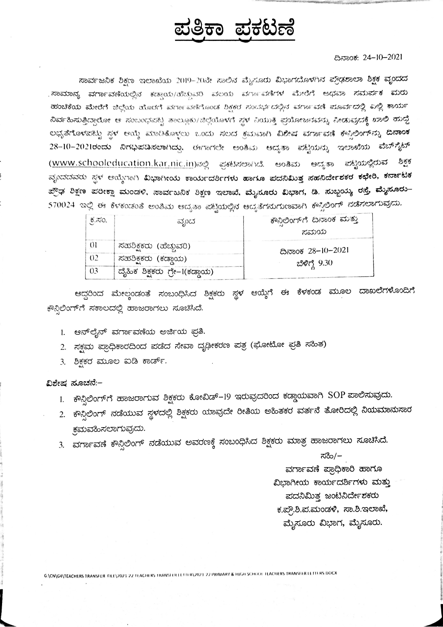## ಪ್ರತ್ರಿಕಾ ಪ್ರಕಟಣೆ

## ದಿನಾಂಕ: 24-10-2021

ಸಾರ್ವಜನಿಕ ಶಿಕ್ಷಣ ಇಲಾಖೆಯ 2019–20ನೇ ಸಾಲಿನ ಮೈಸೂರು ವಿಭಾಗದೊಳಗಿನ ಪ್ರೌಢಶಾಲಾ ಶಿಕ್ಷಕ ವೃಂದದ . ಸಾಮಾನ್ಯ ವರ್ಗಾವಣೆಯಲ್ಲಿನ ಕಡ್ಡಾಯ/ಹೆಚ್ಚುವರಿ ವಲಯ ವರ್ಗಾವಣೆಗಳ ಮೇರೆಗೆ ಅಥವಾ ಸಮರ್ಪಕ ಮರು ಹಂಚಿಕೆಯ ಮೇರೆಗೆ ಜಿಲ್ಲೆಯ ಹೊರಗೆ ವರ್ಗಾವಣಿಗೊಂಡ ಶಿಕ್ಷಕರ ಸಂದರ್ಭದಲ್ಲಿನ ವರ್ಗಾವಣೆ ಮೂರ್ವದಲ್ಲಿ ಎಲ್ಲಿ ಕಾರ್ಯ ನಿರ್ವಹಿಸುತ್ತಿದ್ದಾರೋ ಆ ಸಂಬಂಧವಟ್ಟ ತಾಲ್ಲೂಕು/ಜಿಲ್ಲೆಯೊಳಗೆ ಸ್ಥಳ ನಿಯುಕ್ತಿ ಪ್ರಯೋಜನವನ್ನು ನೀಡುವುದಕ್ಕೆ ಖಾಲಿ ಹುದ್ದೆ ಲಭ್ಯತೆಗೊಳಪಟ್ಟು ಸ್ಥಳ ಆಯ್ದೆ ಮಾಡಿಕೊಳ್ತಲು ಒಂದು ಸಲದ ಕ್ರಮವಾಗಿ ವಿಶೇಷ ವರ್ಗಾವಣೆ ಕೌಸಿಲಿಂಗ್**ನ್ನು ದಿನಾಂಕ** 28–10–2021ರಂದು ನಿಗಧಿಪಡಿಸಲಾಗಿದ್ದು. ಈಗಾಗಲೇ ಅಂತಿಮ ಆದ್ಯತಾ ಪಟ್ಟಿಯನ್ನು ಇಲಾಖೆಯ ವೆಬ್ $\mathring{\tau}^*_b$ ಟ್ <u>(www.schooleducation.kar.nic.in)</u>ನಲ್ಲಿ ಪ್ರಕಟಿಸಲಾಗಿದೆ. ಅಂತಿಮ ಆದ್ಯತಾ ಪಟ್ಟಿಯಲ್ಲಿರುವ ಶಿಕ್ಷಕ ವೃಂದದವರು ಸ್ಥಳ ಆಯ್ಕೆಗಾಗಿ ವಿಭಾಗೀಯ ಕಾರ್ಯದರ್ಶಿ<mark>ಗಳು ಹಾಗೂ ಪದನಿಮಿತ್ತ ಸಹನಿರ್ದೇಶಕರ ಕಛೇರಿ, ಕರ್</mark>ಸಾಟಕ ಪ್ರೌಢ ಶಿಕ್ಷಣ ಪರೀಕ್ಷಾ ಮಂಡಳಿ, ಸಾರ್ವಜನಿಕ ಶಿಕ್ಷಣ ಇಲಾಖೆ, ಮೈಸೂರು ವಿಭಾಗ, ಡಿ. ಸುಬ್ಬಯ್ಯ ರಸ್ತೆ, <mark>ಮೈಸೂರು-</mark> 570024 ಇಲ್ಲಿ ಈ ಕೆಳಕಂಡಂತೆ ಅಂತಿಮ ಆದ್ಯತಾ ಪಟ್ಟಿಯಲ್ಲಿನ ಆದ್ಯತೆಗನುಗುಣವಾಗಿ ಕೌಸ್ಟಿಲಿಂಗ್ ಸಡೆಸಲಾಗುವುದು.

| $\delta$ .ನಂ.  | ವೃಂದ                          | ಕೌನಿಲಿಂಗ್ಗೆ ದಿನಾಂಕ ಮತ್ತು<br>ಸಮಯ |
|----------------|-------------------------------|---------------------------------|
| $_{01}$        | ಸಹಶಿಕ್ಷಕರು (ಹೆಚ್ಚುವರಿ)        | ದಿನಾಂಕ 28–10–2021               |
| 0 <sub>2</sub> | ಸಹಶಿಕ್ಷಕರು (ಕಡ್ಡಾಯ)           | ಬೆಳಿಗ್ಗೆ 9.30                   |
| 03             | ದೈಹಿಕ ಶಿಕ್ಷಕರು ಗ್ರೇ–1(ಕಡ್ಡಾಯ) |                                 |

ಆದ್ದರಿಂದ ಮೇಲ್ಕಂಡಂತೆ ಸಂಬಂಧಿಸಿದ ಶಿಕ್ಷಕರು ಸ್ಥಳ ಆಯ್ಕೆಗೆ ಈ ಕೆಳಕಂಡ ಮೂಲ ದಾಖಲೆಗಳೊಂದಿಗೆ ಕೌನ್ಗಿಲಿಂಗ್ಗೆ ಸಕಾಲದಲ್ಲಿ ಹಾಜರಾಗಲು ಸೂಚಿಸಿದೆ.

- 1. ಆನ್ ಲೈನ್ ವರ್ಗಾವಣೆಯ ಅರ್ಜಿಯ ಪ್ರತಿ.
- 2. ಸಕ್ಷಮ ಪ್ರಾಧಿಕಾರದಿಂದ ಪಡೆದ ಸೇವಾ ದೃಢೀಕರಣ ಪತ್ರ (ಘೋಟೋ ಪ್ರತಿ ಸಹಿತ)
- 3. ಶಿಕ್ಷಕರ ಮೂಲ ಐಡಿ ಕಾರ್ಡ್.

## ವಿಶೇಷ ಸೂಚನೆ:-

- 1. ಕೌನ್ಸಿಲಿಂಗ್**ಗೆ ಹಾಜರಾಗುವ ಶಿಕ್ಷಕರು ಕೋವಿಡ್**-19 ಇರುವುದರಿಂದ ಕಡ್ಡಾಯವಾಗಿ SOP ಪಾಲಿಸುವುದು.
- 2. ಕೌನ್ಸಿಲಿಂಗ್ ನಡೆಯುವ ಸ್ಥಳದಲ್ಲಿ ಶಿಕ್ಷಕರು ಯಾವುದೇ ರೀತಿಯ ಅಹಿತಕರ ವರ್ತನೆ ತೋರಿದಲ್ಲಿ ನಿಯಮಾನುಸಾರ ಕ್ಷಮವಹಿಸಲಾಗುವುದು.
- 3. ವರ್ಗಾವಣೆ ಕೌನ್ಸಿಲಿಂಗ್ ನಡೆಯುವ ಅವರಣಕ್ಕೆ ಸಂಬಂಧಿಸಿದ ಶಿಕ್ಷಕರು ಮಾತ್ರ ಹಾಜರಾಗಲು ಸೂಚಿಸಿದೆ.

ಸಹಿ/–

ವರ್ಗಾವಣೆ ಪ್ರಾಧಿಕಾರಿ ಹಾಗೂ

ವಿಭಾಗೀಯ ಕಾರ್ಯದರ್ಶಿಗಳು ಮತ್ತು

ಪದನಿಮಿತ್ತ ಜಂಟಿನಿರ್ದೇಶಕರು

ಕ.ಪ್ರೌ.ಶಿ.ಪ.ಮಂಡಳಿ, ಸಾ.ಶಿ.ಇಲಾಖೆ,

ಮೈಸೂರು ವಿಭಾಗ, ಮೈಸೂರು.

G:\CN\G4\TEACHERS TRANSFER FILE\2021-22 TEACHERS TRANSFERTETTER\2021-22 PRIMARY & HIGH SCHOOL TEACHERS TRANSFERTETTERS DOCX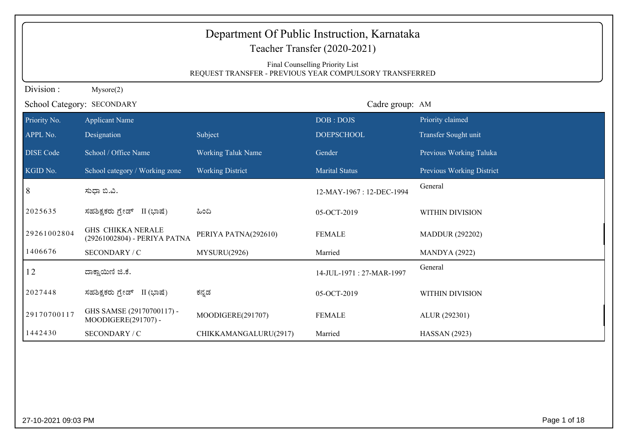| Department Of Public Instruction, Karnataka<br>Teacher Transfer (2020-2021)<br>Final Counselling Priority List<br>REQUEST TRANSFER - PREVIOUS YEAR COMPULSORY TRANSFERRED |                                                          |                           |                          |                           |  |  |
|---------------------------------------------------------------------------------------------------------------------------------------------------------------------------|----------------------------------------------------------|---------------------------|--------------------------|---------------------------|--|--|
| Division:                                                                                                                                                                 | Mysore(2)                                                |                           |                          |                           |  |  |
|                                                                                                                                                                           | School Category: SECONDARY                               |                           | Cadre group: AM          |                           |  |  |
| Priority No.                                                                                                                                                              | <b>Applicant Name</b>                                    |                           | DOB: DOJS                | Priority claimed          |  |  |
| APPL No.                                                                                                                                                                  | Designation                                              | Subject                   | <b>DOEPSCHOOL</b>        | Transfer Sought unit      |  |  |
| <b>DISE</b> Code                                                                                                                                                          | School / Office Name                                     | <b>Working Taluk Name</b> | Gender                   | Previous Working Taluka   |  |  |
| KGID No.                                                                                                                                                                  | School category / Working zone                           | <b>Working District</b>   | <b>Marital Status</b>    | Previous Working District |  |  |
| 8                                                                                                                                                                         | ಸುಧಾ ಬಿ.ವಿ.                                              |                           | 12-MAY-1967: 12-DEC-1994 | General                   |  |  |
| 2025635                                                                                                                                                                   | ಸಹಶಿಕ್ಷಕರು ಗ್ರೇಡ್ II (ಭಾಷೆ)                              | ಹಿಂದಿ                     | 05-OCT-2019              | WITHIN DIVISION           |  |  |
| 29261002804                                                                                                                                                               | <b>GHS CHIKKA NERALE</b><br>(29261002804) - PERIYA PATNA | PERIYA PATNA(292610)      | <b>FEMALE</b>            | <b>MADDUR (292202)</b>    |  |  |
| 1406676                                                                                                                                                                   | SECONDARY / C                                            | MYSURU(2926)              | Married                  | <b>MANDYA</b> (2922)      |  |  |
| 12                                                                                                                                                                        | ದಾಕ್ಷಾಯಿಣಿ ಜಿ.ಕೆ.                                        |                           | 14-JUL-1971: 27-MAR-1997 | General                   |  |  |
| 2027448                                                                                                                                                                   | ಸಹಶಿಕ್ಷಕರು ಗ್ರೇಡ್ II (ಭಾಷೆ)                              | ಕನ್ನಡ                     | 05-OCT-2019              | <b>WITHIN DIVISION</b>    |  |  |
| 29170700117                                                                                                                                                               | GHS SAMSE (29170700117) -<br>MOODIGERE(291707) -         | MOODIGERE(291707)         | <b>FEMALE</b>            | ALUR (292301)             |  |  |
| 1442430                                                                                                                                                                   | SECONDARY / C                                            | CHIKKAMANGALURU(2917)     | Married                  | <b>HASSAN</b> (2923)      |  |  |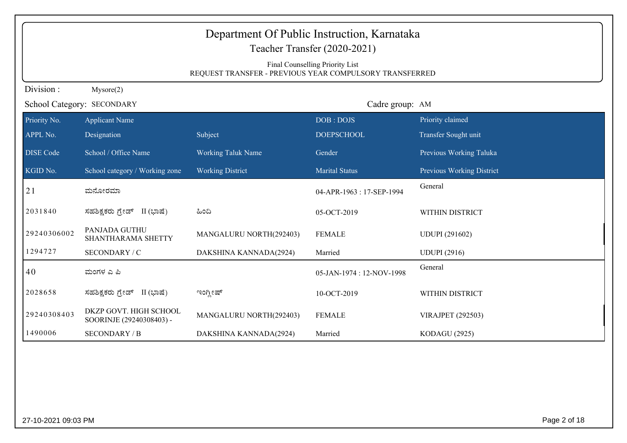|                  | Department Of Public Instruction, Karnataka<br>Teacher Transfer (2020-2021)                |                           |                          |                           |  |  |  |
|------------------|--------------------------------------------------------------------------------------------|---------------------------|--------------------------|---------------------------|--|--|--|
|                  | Final Counselling Priority List<br>REQUEST TRANSFER - PREVIOUS YEAR COMPULSORY TRANSFERRED |                           |                          |                           |  |  |  |
| Division:        | Mysore(2)                                                                                  |                           |                          |                           |  |  |  |
|                  | School Category: SECONDARY                                                                 |                           | Cadre group: AM          |                           |  |  |  |
| Priority No.     | <b>Applicant Name</b>                                                                      |                           | DOB: DOJS                | Priority claimed          |  |  |  |
| APPL No.         | Designation                                                                                | Subject                   | <b>DOEPSCHOOL</b>        | Transfer Sought unit      |  |  |  |
| <b>DISE Code</b> | School / Office Name                                                                       | <b>Working Taluk Name</b> | Gender                   | Previous Working Taluka   |  |  |  |
| KGID No.         | School category / Working zone                                                             | <b>Working District</b>   | <b>Marital Status</b>    | Previous Working District |  |  |  |
| 21               | ಮನೋರಮಾ                                                                                     |                           | 04-APR-1963: 17-SEP-1994 | General                   |  |  |  |
| 2031840          | ಸಹಶಿಕ್ಷಕರು ಗ್ರೇಡ್ II (ಭಾಷೆ)                                                                | ಹಿಂದಿ                     | 05-OCT-2019              | WITHIN DISTRICT           |  |  |  |
| 29240306002      | PANJADA GUTHU<br>SHANTHARAMA SHETTY                                                        | MANGALURU NORTH(292403)   | <b>FEMALE</b>            | <b>UDUPI</b> (291602)     |  |  |  |
| 1294727          | SECONDARY / C                                                                              | DAKSHINA KANNADA(2924)    | Married                  | <b>UDUPI</b> (2916)       |  |  |  |
| 40               | ಮಂಗಳ ಎ ಪಿ                                                                                  |                           | 05-JAN-1974: 12-NOV-1998 | General                   |  |  |  |
| 2028658          | ಸಹಶಿಕ್ಷಕರು ಗ್ರೇಡ್<br>II (ಭಾಷೆ)                                                             | ಇಂಗ್ಲೀಷ್                  | 10-OCT-2019              | WITHIN DISTRICT           |  |  |  |
| 29240308403      | DKZP GOVT. HIGH SCHOOL<br>SOORINJE (29240308403) -                                         | MANGALURU NORTH(292403)   | <b>FEMALE</b>            | <b>VIRAJPET (292503)</b>  |  |  |  |
| 1490006          | <b>SECONDARY / B</b>                                                                       | DAKSHINA KANNADA(2924)    | Married                  | <b>KODAGU (2925)</b>      |  |  |  |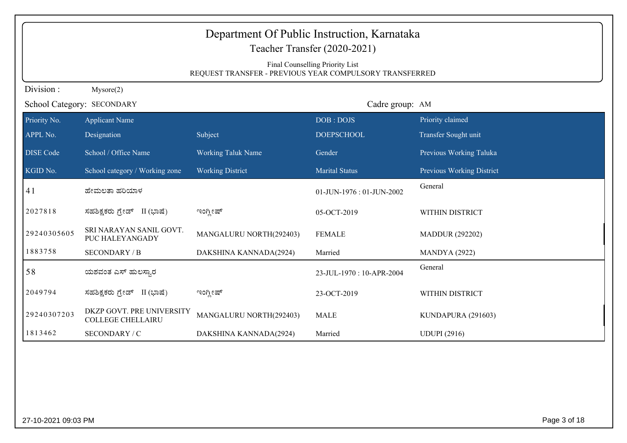|                  | Department Of Public Instruction, Karnataka<br>Teacher Transfer (2020-2021)                |                           |                          |                           |  |  |
|------------------|--------------------------------------------------------------------------------------------|---------------------------|--------------------------|---------------------------|--|--|
|                  | Final Counselling Priority List<br>REQUEST TRANSFER - PREVIOUS YEAR COMPULSORY TRANSFERRED |                           |                          |                           |  |  |
| Division:        | Mysore(2)                                                                                  |                           |                          |                           |  |  |
|                  | School Category: SECONDARY                                                                 |                           | Cadre group: AM          |                           |  |  |
| Priority No.     | <b>Applicant Name</b>                                                                      |                           | DOB: DOJS                | Priority claimed          |  |  |
| APPL No.         | Designation                                                                                | Subject                   | <b>DOEPSCHOOL</b>        | Transfer Sought unit      |  |  |
| <b>DISE</b> Code | School / Office Name                                                                       | <b>Working Taluk Name</b> | Gender                   | Previous Working Taluka   |  |  |
| KGID No.         | School category / Working zone                                                             | <b>Working District</b>   | <b>Marital Status</b>    | Previous Working District |  |  |
| 41               | ಹೇಮಲತಾ ಹರಿಯಾಳ                                                                              |                           | 01-JUN-1976: 01-JUN-2002 | General                   |  |  |
| 2027818          | ಸಹಶಿಕ್ಷಕರು ಗ್ರೇಡ್ II (ಭಾಷೆ)                                                                | ಇಂಗ್ಲೀಷ್                  | 05-OCT-2019              | WITHIN DISTRICT           |  |  |
| 29240305605      | SRI NARAYAN SANIL GOVT.<br>PUC HALEYANGADY                                                 | MANGALURU NORTH(292403)   | <b>FEMALE</b>            | <b>MADDUR (292202)</b>    |  |  |
| 1883758          | <b>SECONDARY / B</b>                                                                       | DAKSHINA KANNADA(2924)    | Married                  | <b>MANDYA</b> (2922)      |  |  |
| 58               | ಯಶವಂತ ಎಸ್ ಹುಲಸ್ಕಾರ                                                                         |                           | 23-JUL-1970: 10-APR-2004 | General                   |  |  |
| 2049794          | ಸಹಶಿಕ್ಷಕರು ಗ್ರೇಡ್ II (ಭಾಷೆ)                                                                | ಇಂಗ್ಲೀಷ್                  | 23-OCT-2019              | WITHIN DISTRICT           |  |  |
| 29240307203      | DKZP GOVT. PRE UNIVERSITY<br><b>COLLEGE CHELLAIRU</b>                                      | MANGALURU NORTH(292403)   | <b>MALE</b>              | KUNDAPURA (291603)        |  |  |
| 1813462          | SECONDARY / C                                                                              | DAKSHINA KANNADA(2924)    | Married                  | <b>UDUPI</b> (2916)       |  |  |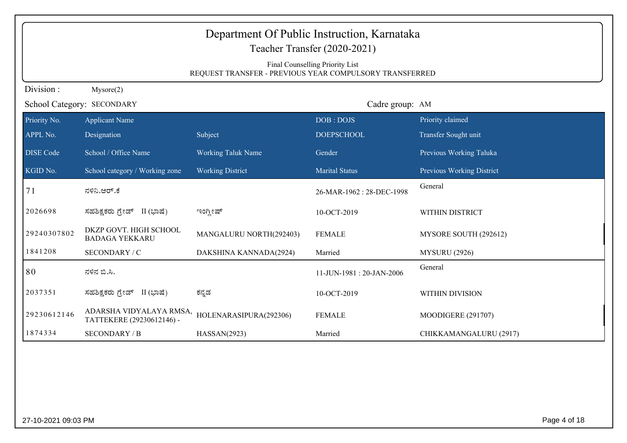| Department Of Public Instruction, Karnataka<br>Teacher Transfer (2020-2021) |                                                                                            |                           |                          |                           |  |  |  |
|-----------------------------------------------------------------------------|--------------------------------------------------------------------------------------------|---------------------------|--------------------------|---------------------------|--|--|--|
|                                                                             | Final Counselling Priority List<br>REQUEST TRANSFER - PREVIOUS YEAR COMPULSORY TRANSFERRED |                           |                          |                           |  |  |  |
| Division:<br>Mysore(2)                                                      |                                                                                            |                           |                          |                           |  |  |  |
|                                                                             | School Category: SECONDARY                                                                 |                           | Cadre group: AM          |                           |  |  |  |
| Priority No.                                                                | <b>Applicant Name</b>                                                                      |                           | DOB: DOJS                | Priority claimed          |  |  |  |
| APPL No.                                                                    | Designation                                                                                | Subject                   | <b>DOEPSCHOOL</b>        | Transfer Sought unit      |  |  |  |
| <b>DISE</b> Code                                                            | School / Office Name                                                                       | <b>Working Taluk Name</b> | Gender                   | Previous Working Taluka   |  |  |  |
| KGID No.                                                                    | School category / Working zone                                                             | <b>Working District</b>   | <b>Marital Status</b>    | Previous Working District |  |  |  |
| 71                                                                          | ನಳಿನಿ.ಆರ್.ಕೆ                                                                               |                           | 26-MAR-1962: 28-DEC-1998 | General                   |  |  |  |
| 2026698                                                                     | ಸಹಶಿಕ್ಷಕರು ಗ್ರೇಡ್ II (ಭಾಷೆ)                                                                | ಇಂಗ್ಲೀಷ್                  | 10-OCT-2019              | WITHIN DISTRICT           |  |  |  |
| 29240307802                                                                 | DKZP GOVT. HIGH SCHOOL<br><b>BADAGA YEKKARU</b>                                            | MANGALURU NORTH(292403)   | <b>FEMALE</b>            | MYSORE SOUTH (292612)     |  |  |  |
| 1841208                                                                     | SECONDARY / C                                                                              | DAKSHINA KANNADA(2924)    | Married                  | <b>MYSURU (2926)</b>      |  |  |  |
| 80                                                                          | ನಳಿನ ಬಿ.ಸಿ.                                                                                |                           | 11-JUN-1981: 20-JAN-2006 | General                   |  |  |  |
| 2037351                                                                     | ಸಹಶಿಕ್ಷಕರು ಗ್ರೇಡ್ II (ಭಾಷೆ)                                                                | ಕನ್ನಡ                     | 10-OCT-2019              | WITHIN DIVISION           |  |  |  |
| 29230612146                                                                 | ADARSHA VIDYALAYA RMSA,<br>TATTEKERE (29230612146) -                                       | HOLENARASIPURA(292306)    | <b>FEMALE</b>            | MOODIGERE (291707)        |  |  |  |
| 1874334                                                                     | <b>SECONDARY / B</b>                                                                       | HASSAN(2923)              | Married                  | CHIKKAMANGALURU (2917)    |  |  |  |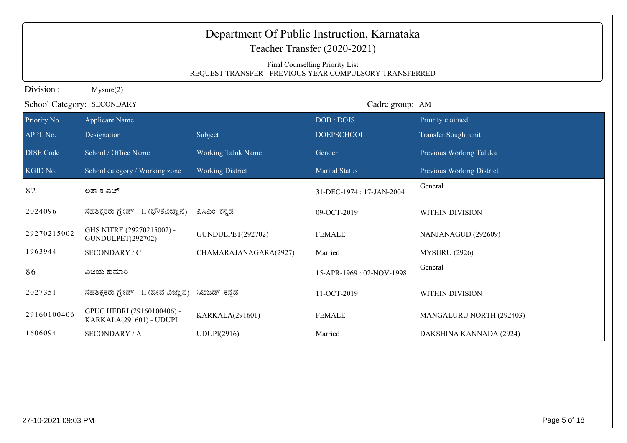| Department Of Public Instruction, Karnataka<br>Teacher Transfer (2020-2021)                |                                                       |                           |                          |                           |  |  |
|--------------------------------------------------------------------------------------------|-------------------------------------------------------|---------------------------|--------------------------|---------------------------|--|--|
| Final Counselling Priority List<br>REQUEST TRANSFER - PREVIOUS YEAR COMPULSORY TRANSFERRED |                                                       |                           |                          |                           |  |  |
| Division:<br>Mysore(2)                                                                     |                                                       |                           |                          |                           |  |  |
| School Category: SECONDARY                                                                 |                                                       |                           | Cadre group: AM          |                           |  |  |
| Priority No.                                                                               | <b>Applicant Name</b>                                 |                           | DOB: DOJS                | Priority claimed          |  |  |
| APPL No.                                                                                   | Designation                                           | Subject                   | <b>DOEPSCHOOL</b>        | Transfer Sought unit      |  |  |
| <b>DISE Code</b>                                                                           | School / Office Name                                  | <b>Working Taluk Name</b> | Gender                   | Previous Working Taluka   |  |  |
| KGID No.                                                                                   | School category / Working zone                        | <b>Working District</b>   | <b>Marital Status</b>    | Previous Working District |  |  |
| 82                                                                                         | ಲತಾ ಕೆ ಎಚ್                                            |                           | 31-DEC-1974: 17-JAN-2004 | General                   |  |  |
| 2024096                                                                                    | ಸಹಶಿಕ್ಷಕರು ಗ್ರೇಡ್ II (ಭೌತವಿಜ್ಞಾನ)                     | ಪಿಸಿಎಂ_ಕನ್ನಡ              | 09-OCT-2019              | WITHIN DIVISION           |  |  |
| 29270215002                                                                                | GHS NITRE (29270215002) -<br>GUNDULPET(292702) -      | GUNDULPET(292702)         | <b>FEMALE</b>            | NANJANAGUD (292609)       |  |  |
| 1963944                                                                                    | SECONDARY / C                                         | CHAMARAJANAGARA(2927)     | Married                  | <b>MYSURU</b> (2926)      |  |  |
| 86                                                                                         | ವಿಜಯ ಕುಮಾರಿ                                           |                           | 15-APR-1969: 02-NOV-1998 | General                   |  |  |
| 2027351                                                                                    | ಸಹಶಿಕ್ಷಕರು ಗ್ರೇಡ್ II (ಜೀವ ವಿಜ್ಞಾನ)                    | ಸಿಬಿಜಡ್ ಕನ್ನಡ             | 11-OCT-2019              | WITHIN DIVISION           |  |  |
| 29160100406                                                                                | GPUC HEBRI (29160100406) -<br>KARKALA(291601) - UDUPI | KARKALA(291601)           | <b>FEMALE</b>            | MANGALURU NORTH (292403)  |  |  |
| 1606094                                                                                    | <b>SECONDARY / A</b>                                  | UDUPI(2916)               | Married                  | DAKSHINA KANNADA (2924)   |  |  |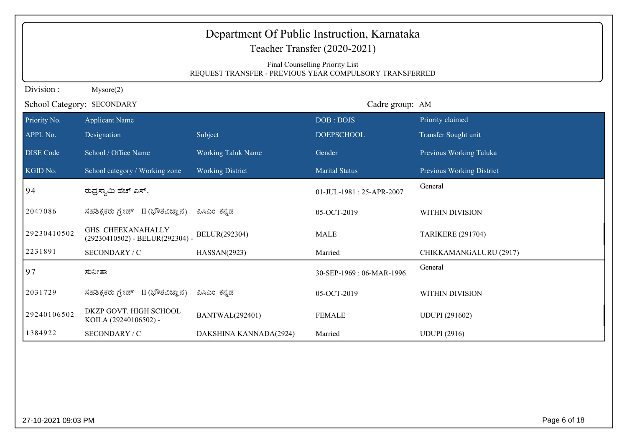| Department Of Public Instruction, Karnataka<br>Teacher Transfer (2020-2021)<br>Final Counselling Priority List<br>REQUEST TRANSFER - PREVIOUS YEAR COMPULSORY TRANSFERRED |                                                             |                           |                          |                                  |  |  |
|---------------------------------------------------------------------------------------------------------------------------------------------------------------------------|-------------------------------------------------------------|---------------------------|--------------------------|----------------------------------|--|--|
| Division:<br>Mysore(2)                                                                                                                                                    |                                                             |                           |                          |                                  |  |  |
|                                                                                                                                                                           | Cadre group: AM<br>School Category: SECONDARY               |                           |                          |                                  |  |  |
| Priority No.                                                                                                                                                              | <b>Applicant Name</b>                                       |                           | DOB: DOJS                | Priority claimed                 |  |  |
| APPL No.                                                                                                                                                                  | Designation                                                 | Subject                   | <b>DOEPSCHOOL</b>        | Transfer Sought unit             |  |  |
| <b>DISE Code</b>                                                                                                                                                          | School / Office Name                                        | <b>Working Taluk Name</b> | Gender                   | Previous Working Taluka          |  |  |
| KGID No.                                                                                                                                                                  | School category / Working zone                              | <b>Working District</b>   | <b>Marital Status</b>    | <b>Previous Working District</b> |  |  |
| 94                                                                                                                                                                        | ರುದ್ರಸ್ವಾಮಿ ಹೆಚ್ ಎಸ್.                                       |                           | 01-JUL-1981: 25-APR-2007 | General                          |  |  |
| 2047086                                                                                                                                                                   | ಸಹಶಿಕ್ಷಕರು ಗ್ರೇಡ್ II (ಭೌತವಿಜ್ಞಾನ)                           | ಪಿಸಿಎಂ ಕನ್ನಡ              | 05-OCT-2019              | WITHIN DIVISION                  |  |  |
| 29230410502                                                                                                                                                               | <b>GHS CHEEKANAHALLY</b><br>(29230410502) - BELUR(292304) - | BELUR(292304)             | <b>MALE</b>              | <b>TARIKERE (291704)</b>         |  |  |
| 2231891                                                                                                                                                                   | SECONDARY / C                                               | HASSAN(2923)              | Married                  | CHIKKAMANGALURU (2917)           |  |  |
| 97                                                                                                                                                                        | ಸುನೀತಾ                                                      |                           | 30-SEP-1969: 06-MAR-1996 | General                          |  |  |
| 2031729                                                                                                                                                                   | ಸಹಶಿಕ್ಷಕರು ಗ್ರೇಡ್<br>II (ಭೌತವಿಜ್ಞಾನ)                        | ಪಿಸಿಎಂ ಕನ್ನಡ              | 05-OCT-2019              | WITHIN DIVISION                  |  |  |
| 29240106502                                                                                                                                                               | DKZP GOVT. HIGH SCHOOL<br>KOILA (29240106502) -             | <b>BANTWAL(292401)</b>    | <b>FEMALE</b>            | <b>UDUPI</b> (291602)            |  |  |
| 1384922                                                                                                                                                                   | SECONDARY / C                                               | DAKSHINA KANNADA(2924)    | Married                  | <b>UDUPI</b> (2916)              |  |  |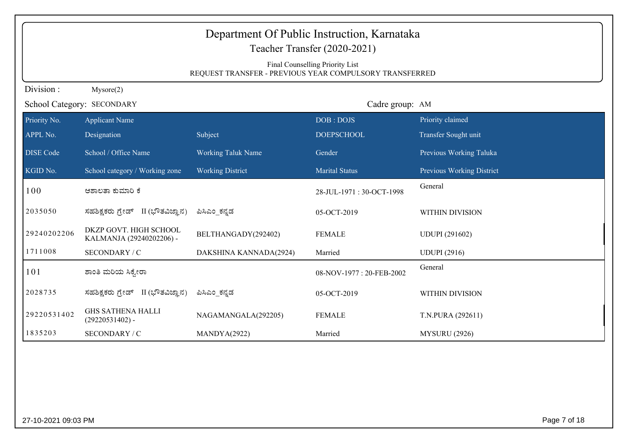| Department Of Public Instruction, Karnataka<br>Teacher Transfer (2020-2021)                |                                                    |                           |                          |                           |  |  |
|--------------------------------------------------------------------------------------------|----------------------------------------------------|---------------------------|--------------------------|---------------------------|--|--|
| Final Counselling Priority List<br>REQUEST TRANSFER - PREVIOUS YEAR COMPULSORY TRANSFERRED |                                                    |                           |                          |                           |  |  |
| Division:<br>Mysore(2)                                                                     |                                                    |                           |                          |                           |  |  |
|                                                                                            | Cadre group: AM<br>School Category: SECONDARY      |                           |                          |                           |  |  |
| Priority No.                                                                               | <b>Applicant Name</b>                              |                           | DOB: DOJS                | Priority claimed          |  |  |
| APPL No.                                                                                   | Designation                                        | Subject                   | <b>DOEPSCHOOL</b>        | Transfer Sought unit      |  |  |
| <b>DISE</b> Code                                                                           | School / Office Name                               | <b>Working Taluk Name</b> | Gender                   | Previous Working Taluka   |  |  |
| KGID No.                                                                                   | School category / Working zone                     | <b>Working District</b>   | <b>Marital Status</b>    | Previous Working District |  |  |
| 100                                                                                        | ಆಶಾಲತಾ ಕುಮಾರಿ ಕೆ                                   |                           | 28-JUL-1971: 30-OCT-1998 | General                   |  |  |
| 2035050                                                                                    | ಸಹಶಿಕ್ಷಕರು ಗ್ರೇಡ್ II (ಭೌತವಿಜ್ಞಾನ)                  | ಪಿಸಿಎಂ ಕನ್ನಡ              | 05-OCT-2019              | WITHIN DIVISION           |  |  |
| 29240202206                                                                                | DKZP GOVT. HIGH SCHOOL<br>KALMANJA (29240202206) - | BELTHANGADY(292402)       | <b>FEMALE</b>            | <b>UDUPI</b> (291602)     |  |  |
| 1711008                                                                                    | SECONDARY / C                                      | DAKSHINA KANNADA(2924)    | Married                  | <b>UDUPI</b> (2916)       |  |  |
| 101                                                                                        | ಶಾಂತಿ ಮರಿಯ ಸಿಕ್ಕೇರಾ                                |                           | 08-NOV-1977: 20-FEB-2002 | General                   |  |  |
| 2028735                                                                                    | ಸಹಶಿಕ್ಷಕರು ಗ್ರೇಡ್ II (ಭೌತವಿಜ್ಞಾನ)                  | ಪಿಸಿಎಂ ಕನ್ನಡ              | 05-OCT-2019              | <b>WITHIN DIVISION</b>    |  |  |
| 29220531402                                                                                | <b>GHS SATHENA HALLI</b><br>$(29220531402)$ -      | NAGAMANGALA(292205)       | <b>FEMALE</b>            | T.N.PURA (292611)         |  |  |
| 1835203                                                                                    | SECONDARY / C                                      | MANDYA(2922)              | Married                  | <b>MYSURU (2926)</b>      |  |  |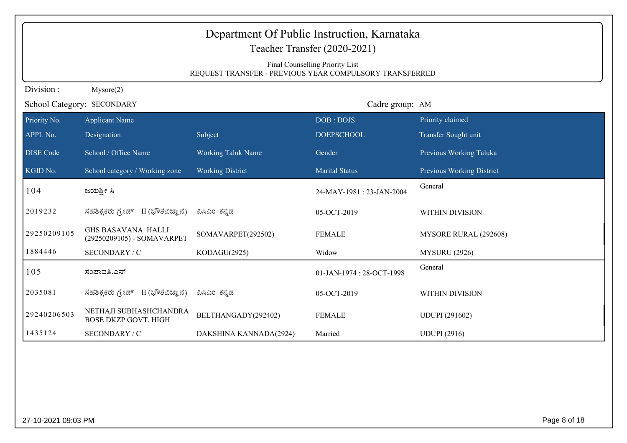| Department Of Public Instruction, Karnataka<br>Teacher Transfer (2020-2021)<br>Final Counselling Priority List<br>REQUEST TRANSFER - PREVIOUS YEAR COMPULSORY TRANSFERRED |                                                         |                           |                          |                           |  |  |
|---------------------------------------------------------------------------------------------------------------------------------------------------------------------------|---------------------------------------------------------|---------------------------|--------------------------|---------------------------|--|--|
| Division:                                                                                                                                                                 | Mysore(2)                                               |                           |                          |                           |  |  |
|                                                                                                                                                                           | School Category: SECONDARY<br>Cadre group: AM           |                           |                          |                           |  |  |
| Priority No.                                                                                                                                                              | <b>Applicant Name</b>                                   |                           | DOB: DOJS                | Priority claimed          |  |  |
| APPL No.                                                                                                                                                                  | Designation                                             | Subject                   | <b>DOEPSCHOOL</b>        | Transfer Sought unit      |  |  |
| <b>DISE</b> Code                                                                                                                                                          | School / Office Name                                    | <b>Working Taluk Name</b> | Gender                   | Previous Working Taluka   |  |  |
| KGID No.                                                                                                                                                                  | School category / Working zone                          | <b>Working District</b>   | <b>Marital Status</b>    | Previous Working District |  |  |
| 104                                                                                                                                                                       | ಜಯಶ್ರೀ ಸಿ                                               |                           | 24-MAY-1981: 23-JAN-2004 | General                   |  |  |
| 2019232                                                                                                                                                                   | ಸಹಶಿಕ್ಷಕರು ಗ್ರೇಡ್ II (ಭೌತವಿಜ್ಞಾನ)                       | ಪಿಸಿಎಂ ಕನ್ನಡ              | 05-OCT-2019              | WITHIN DIVISION           |  |  |
| 29250209105                                                                                                                                                               | <b>GHS BASAVANA HALLI</b><br>(29250209105) - SOMAVARPET | SOMAVARPET(292502)        | <b>FEMALE</b>            | MYSORE RURAL (292608)     |  |  |
| 1884446                                                                                                                                                                   | SECONDARY / C                                           | KODAGU(2925)              | Widow                    | <b>MYSURU (2926)</b>      |  |  |
| 105                                                                                                                                                                       | ಸಂಪಾವತಿ.ಎನ್                                             |                           | 01-JAN-1974: 28-OCT-1998 | General                   |  |  |
| 2035081                                                                                                                                                                   | II (ಭೌತವಿಜ್ಞಾನ)<br>ಸಹಶಿಕ್ಷಕರು ಗ್ರೇಡ್                    | ಪಿಸಿಎಂ ಕನ್ನಡ              | 05-OCT-2019              | <b>WITHIN DIVISION</b>    |  |  |
| 29240206503                                                                                                                                                               | NETHAJI SUBHASHCHANDRA<br><b>BOSE DKZP GOVT. HIGH</b>   | BELTHANGADY(292402)       | <b>FEMALE</b>            | <b>UDUPI</b> (291602)     |  |  |
| 1435124                                                                                                                                                                   | SECONDARY / C                                           | DAKSHINA KANNADA(2924)    | Married                  | <b>UDUPI</b> (2916)       |  |  |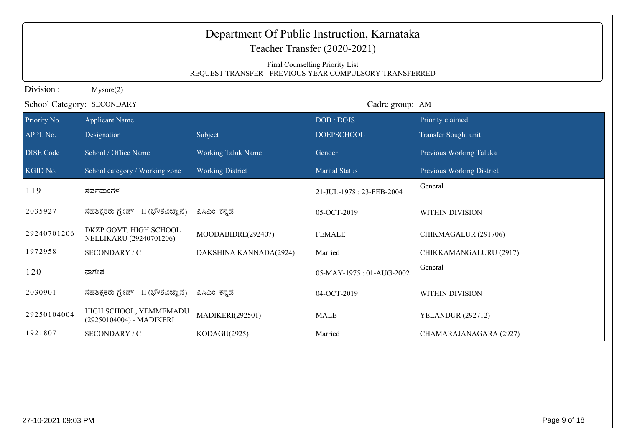|                  | Department Of Public Instruction, Karnataka<br>Teacher Transfer (2020-2021)<br>Final Counselling Priority List<br>REQUEST TRANSFER - PREVIOUS YEAR COMPULSORY TRANSFERRED |                           |                          |                           |  |  |
|------------------|---------------------------------------------------------------------------------------------------------------------------------------------------------------------------|---------------------------|--------------------------|---------------------------|--|--|
| Division:        | Mysore(2)                                                                                                                                                                 |                           |                          |                           |  |  |
|                  | School Category: SECONDARY                                                                                                                                                |                           | Cadre group: AM          |                           |  |  |
| Priority No.     | <b>Applicant Name</b>                                                                                                                                                     |                           | DOB: DOJS                | Priority claimed          |  |  |
| APPL No.         | Designation                                                                                                                                                               | Subject                   | <b>DOEPSCHOOL</b>        | Transfer Sought unit      |  |  |
| <b>DISE</b> Code | School / Office Name                                                                                                                                                      | <b>Working Taluk Name</b> | Gender                   | Previous Working Taluka   |  |  |
| KGID No.         | School category / Working zone                                                                                                                                            | <b>Working District</b>   | <b>Marital Status</b>    | Previous Working District |  |  |
| 119              | ಸರ್ವಮಂಗಳ                                                                                                                                                                  |                           | 21-JUL-1978: 23-FEB-2004 | General                   |  |  |
| 2035927          | ಸಹಶಿಕ್ಷಕರು ಗ್ರೇಡ್ II (ಭೌತವಿಜ್ಞಾನ)                                                                                                                                         | ಪಿಸಿಎಂ ಕನ್ನಡ              | 05-OCT-2019              | WITHIN DIVISION           |  |  |
| 29240701206      | DKZP GOVT. HIGH SCHOOL<br>NELLIKARU (29240701206) -                                                                                                                       | MOODABIDRE(292407)        | <b>FEMALE</b>            | CHIKMAGALUR (291706)      |  |  |
| 1972958          | SECONDARY / C                                                                                                                                                             | DAKSHINA KANNADA(2924)    | Married                  | CHIKKAMANGALURU (2917)    |  |  |
| 120              | ನಾಗೇಶ                                                                                                                                                                     |                           | 05-MAY-1975: 01-AUG-2002 | General                   |  |  |
| 2030901          | ಸಹಶಿಕ್ಷಕರು ಗ್ರೇಡ್ II (ಭೌತವಿಜ್ಞಾನ)                                                                                                                                         | ಪಿಸಿಎಂ ಕನ್ನಡ              | 04-OCT-2019              | WITHIN DIVISION           |  |  |
| 29250104004      | HIGH SCHOOL, YEMMEMADU<br>(29250104004) - MADIKERI                                                                                                                        | <b>MADIKERI(292501)</b>   | <b>MALE</b>              | <b>YELANDUR (292712)</b>  |  |  |
| 1921807          | SECONDARY / C                                                                                                                                                             | KODAGU(2925)              | Married                  | CHAMARAJANAGARA (2927)    |  |  |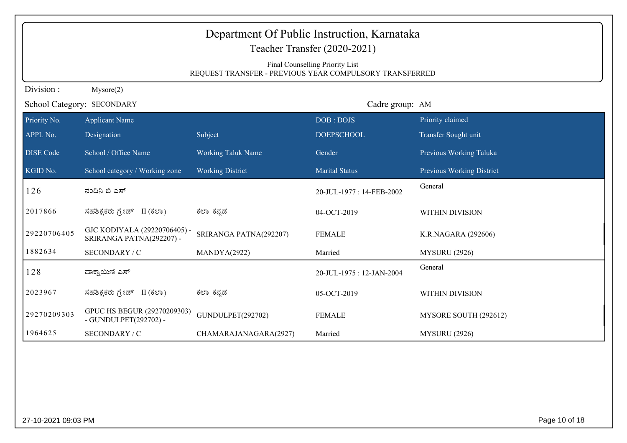|                                                                                            |                                                          | Department Of Public Instruction, Karnataka<br>Teacher Transfer (2020-2021) |                          |                           |  |  |  |
|--------------------------------------------------------------------------------------------|----------------------------------------------------------|-----------------------------------------------------------------------------|--------------------------|---------------------------|--|--|--|
| Final Counselling Priority List<br>REQUEST TRANSFER - PREVIOUS YEAR COMPULSORY TRANSFERRED |                                                          |                                                                             |                          |                           |  |  |  |
| Division:<br>Mysore(2)                                                                     |                                                          |                                                                             |                          |                           |  |  |  |
| School Category: SECONDARY                                                                 |                                                          |                                                                             | Cadre group: AM          |                           |  |  |  |
| Priority No.                                                                               | <b>Applicant Name</b>                                    |                                                                             | DOB: DOJS                | Priority claimed          |  |  |  |
| APPL No.                                                                                   | Designation                                              | Subject                                                                     | <b>DOEPSCHOOL</b>        | Transfer Sought unit      |  |  |  |
| <b>DISE Code</b>                                                                           | School / Office Name                                     | <b>Working Taluk Name</b>                                                   | Gender                   | Previous Working Taluka   |  |  |  |
| KGID No.                                                                                   | School category / Working zone                           | <b>Working District</b>                                                     | <b>Marital Status</b>    | Previous Working District |  |  |  |
| 126                                                                                        | ನಂದಿನಿ ಬಿ ಎಸ್                                            |                                                                             | 20-JUL-1977: 14-FEB-2002 | General                   |  |  |  |
| 2017866                                                                                    | ಸಹಶಿಕ್ಷಕರು <u>ಗ್ರೇಡ್</u> II (ಕಲಾ)                        | ಕಲ್_ಕನ್ನಡ                                                                   | 04-OCT-2019              | WITHIN DIVISION           |  |  |  |
| 29220706405                                                                                | GJC KODIYALA (29220706405) -<br>SRIRANGA PATNA(292207) - | SRIRANGA PATNA(292207)                                                      | <b>FEMALE</b>            | K.R.NAGARA (292606)       |  |  |  |
| 1882634                                                                                    | SECONDARY / C                                            | MANDYA(2922)                                                                | Married                  | <b>MYSURU (2926)</b>      |  |  |  |
| 128                                                                                        | ದಾಕ್ಷಾಯಿಣಿ ಎಸ್                                           |                                                                             | 20-JUL-1975: 12-JAN-2004 | General                   |  |  |  |
| 2023967                                                                                    | ಸಹಶಿಕ್ಷಕರು ಗ್ರೇಡ್ II (ಕಲಾ)                               | ಕಲ್_ಕನ್ನಡ                                                                   | 05-OCT-2019              | WITHIN DIVISION           |  |  |  |
| 29270209303                                                                                | GPUC HS BEGUR (29270209303)<br>- GUNDULPET(292702) -     | GUNDULPET(292702)                                                           | <b>FEMALE</b>            | MYSORE SOUTH (292612)     |  |  |  |
| 1964625                                                                                    | SECONDARY / C                                            | CHAMARAJANAGARA(2927)                                                       | Married                  | <b>MYSURU (2926)</b>      |  |  |  |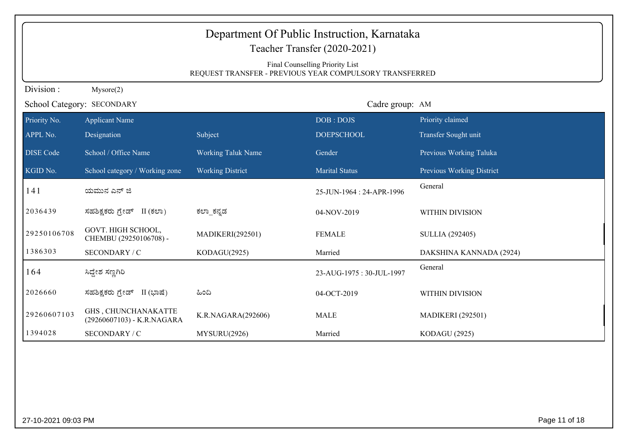| Department Of Public Instruction, Karnataka<br>Teacher Transfer (2020-2021)<br>Final Counselling Priority List<br>REQUEST TRANSFER - PREVIOUS YEAR COMPULSORY TRANSFERRED |                                                   |                           |                           |                           |  |  |
|---------------------------------------------------------------------------------------------------------------------------------------------------------------------------|---------------------------------------------------|---------------------------|---------------------------|---------------------------|--|--|
| Division:                                                                                                                                                                 | Mysore(2)                                         |                           |                           |                           |  |  |
|                                                                                                                                                                           | School Category: SECONDARY                        |                           | Cadre group: AM           |                           |  |  |
| Priority No.                                                                                                                                                              | <b>Applicant Name</b>                             |                           | DOB: DOJS                 | Priority claimed          |  |  |
| APPL No.                                                                                                                                                                  | Designation                                       | Subject                   | <b>DOEPSCHOOL</b>         | Transfer Sought unit      |  |  |
| <b>DISE Code</b>                                                                                                                                                          | School / Office Name                              | <b>Working Taluk Name</b> | Gender                    | Previous Working Taluka   |  |  |
| KGID No.                                                                                                                                                                  | School category / Working zone                    | <b>Working District</b>   | <b>Marital Status</b>     | Previous Working District |  |  |
| 141                                                                                                                                                                       | ಯಮುನ ಎನ್ ಜಿ                                       |                           | 25-JUN-1964 : 24-APR-1996 | General                   |  |  |
| 2036439                                                                                                                                                                   | ಸಹಶಿಕ್ಷಕರು ಗ್ರೇಡ್ II (ಕಲಾ)                        | ಕಲ್_ಕನ್ನಡ                 | 04-NOV-2019               | <b>WITHIN DIVISION</b>    |  |  |
| 29250106708                                                                                                                                                               | GOVT. HIGH SCHOOL,<br>CHEMBU (29250106708) -      | <b>MADIKERI(292501)</b>   | <b>FEMALE</b>             | <b>SULLIA</b> (292405)    |  |  |
| 1386303                                                                                                                                                                   | SECONDARY / C                                     | KODAGU(2925)              | Married                   | DAKSHINA KANNADA (2924)   |  |  |
| 164                                                                                                                                                                       | ಸಿದ್ದೇಶ ಸಣ್ಣಗಿರಿ                                  |                           | 23-AUG-1975: 30-JUL-1997  | General                   |  |  |
| 2026660                                                                                                                                                                   | ಸಹಶಿಕ್ಷಕರು ಗ್ರೇಡ್ II (ಭಾಷೆ)                       | ಹಿಂದಿ                     | 04-OCT-2019               | WITHIN DIVISION           |  |  |
| 29260607103                                                                                                                                                               | GHS, CHUNCHANAKATTE<br>(29260607103) - K.R.NAGARA | K.R.NAGARA(292606)        | <b>MALE</b>               | <b>MADIKERI</b> (292501)  |  |  |
| 1394028                                                                                                                                                                   | SECONDARY / C                                     | MYSURU(2926)              | Married                   | <b>KODAGU (2925)</b>      |  |  |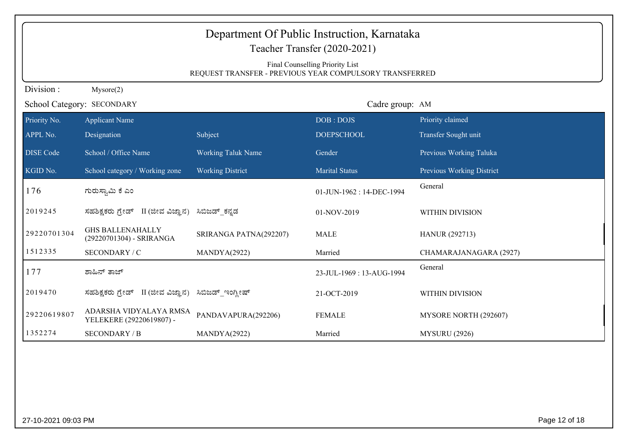|                  | Department Of Public Instruction, Karnataka<br>Teacher Transfer (2020-2021)<br>Final Counselling Priority List<br>REQUEST TRANSFER - PREVIOUS YEAR COMPULSORY TRANSFERRED |                                   |                          |                           |  |
|------------------|---------------------------------------------------------------------------------------------------------------------------------------------------------------------------|-----------------------------------|--------------------------|---------------------------|--|
| Division:        | Mysore(2)                                                                                                                                                                 |                                   |                          |                           |  |
|                  | School Category: SECONDARY                                                                                                                                                |                                   | Cadre group: AM          |                           |  |
| Priority No.     | <b>Applicant Name</b>                                                                                                                                                     |                                   | DOB: DOJS                | Priority claimed          |  |
| APPL No.         | Designation                                                                                                                                                               | Subject                           | <b>DOEPSCHOOL</b>        | Transfer Sought unit      |  |
| <b>DISE Code</b> | School / Office Name                                                                                                                                                      | <b>Working Taluk Name</b>         | Gender                   | Previous Working Taluka   |  |
| KGID No.         | School category / Working zone                                                                                                                                            | <b>Working District</b>           | <b>Marital Status</b>    | Previous Working District |  |
| 176              | ಗುರುಸ್ವಾಮಿ ಕೆ ಎಂ                                                                                                                                                          |                                   | 01-JUN-1962: 14-DEC-1994 | General                   |  |
| 2019245          | ಸಹಶಿಕ್ಷಕರು ಗ್ರೇಡ್ II (ಜೀವ ವಿಜ್ಞಾನ) ಸಿಬಿಜಡ್ ಕನ್ನಡ                                                                                                                          |                                   | 01-NOV-2019              | WITHIN DIVISION           |  |
| 29220701304      | <b>GHS BALLENAHALLY</b><br>(29220701304) - SRIRANGA                                                                                                                       | SRIRANGA PATNA(292207)            | <b>MALE</b>              | <b>HANUR (292713)</b>     |  |
| 1512335          | SECONDARY / C                                                                                                                                                             | MANDYA(2922)                      | Married                  | CHAMARAJANAGARA (2927)    |  |
| 177              | ಶಾಹಿನ್ ತಾಜ್                                                                                                                                                               |                                   | 23-JUL-1969: 13-AUG-1994 | General                   |  |
| 2019470          | ಸಹಶಿಕ್ಷಕರು ಗ್ರೇಡ್                                                                                                                                                         | II (ಜೀವ ವಿಜ್ಞಾನ) ಸಿಬಿಜಡ್_ಇಂಗ್ಲೀಷ್ | 21-OCT-2019              | WITHIN DIVISION           |  |
| 29220619807      | ADARSHA VIDYALAYA RMSA<br>YELEKERE (29220619807) -                                                                                                                        | PANDAVAPURA(292206)               | <b>FEMALE</b>            | MYSORE NORTH (292607)     |  |
| 1352274          | <b>SECONDARY / B</b>                                                                                                                                                      | MANDYA(2922)                      | Married                  | <b>MYSURU</b> (2926)      |  |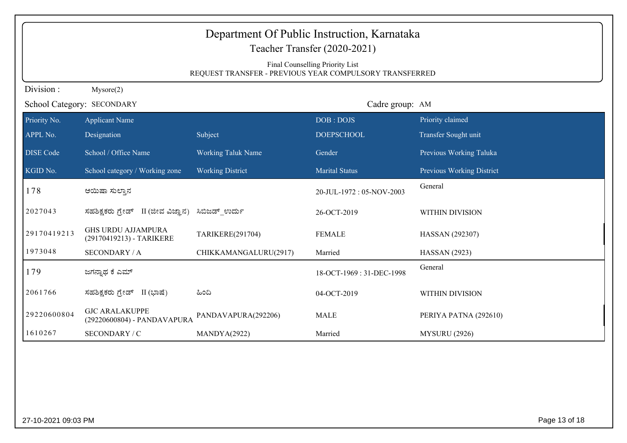| Department Of Public Instruction, Karnataka<br>Teacher Transfer (2020-2021) |                                                       |                                                         |                          |                           |  |
|-----------------------------------------------------------------------------|-------------------------------------------------------|---------------------------------------------------------|--------------------------|---------------------------|--|
|                                                                             | Final Counselling Priority List                       |                                                         |                          |                           |  |
|                                                                             |                                                       | REQUEST TRANSFER - PREVIOUS YEAR COMPULSORY TRANSFERRED |                          |                           |  |
| Division:                                                                   | Mysore(2)                                             |                                                         |                          |                           |  |
|                                                                             | School Category: SECONDARY                            |                                                         | Cadre group: AM          |                           |  |
| Priority No.                                                                | <b>Applicant Name</b>                                 |                                                         | DOB: DOJS                | Priority claimed          |  |
| APPL No.                                                                    | Designation                                           | Subject                                                 | <b>DOEPSCHOOL</b>        | Transfer Sought unit      |  |
| <b>DISE Code</b>                                                            | School / Office Name                                  | <b>Working Taluk Name</b>                               | Gender                   | Previous Working Taluka   |  |
| KGID No.                                                                    | School category / Working zone                        | <b>Working District</b>                                 | <b>Marital Status</b>    | Previous Working District |  |
| 178                                                                         | ಆಯಿಷಾ ಸುಲ್ತಾನ                                         |                                                         | 20-JUL-1972: 05-NOV-2003 | General                   |  |
| 2027043                                                                     | ಸಹಶಿಕ್ಷಕರು ಗ್ರೇಡ್ II (ಜೀವ ವಿಜ್ಞಾನ)                    | ಸಿಬಿಜಡ್ ಉರ್ದು                                           | 26-OCT-2019              | WITHIN DIVISION           |  |
| 29170419213                                                                 | <b>GHS URDU AJJAMPURA</b><br>(29170419213) - TARIKERE | TARIKERE(291704)                                        | <b>FEMALE</b>            | HASSAN (292307)           |  |
| 1973048                                                                     | <b>SECONDARY / A</b>                                  | CHIKKAMANGALURU(2917)                                   | Married                  | <b>HASSAN</b> (2923)      |  |
| 179                                                                         | ಜಗನ್ನಾಥ ಕೆ ಎಮ್                                        |                                                         | 18-OCT-1969: 31-DEC-1998 | General                   |  |
| 2061766                                                                     | ಸಹಶಿಕ್ಷಕರು ಗ್ರೇಡ್ II (ಭಾಷೆ)                           | ಹಿಂದಿ                                                   | 04-OCT-2019              | WITHIN DIVISION           |  |
| 29220600804                                                                 | <b>GJC ARALAKUPPE</b><br>(29220600804) - PANDAVAPURA  | PANDAVAPURA(292206)                                     | <b>MALE</b>              | PERIYA PATNA (292610)     |  |
| 1610267                                                                     | SECONDARY / C                                         | MANDYA(2922)                                            | Married                  | <b>MYSURU (2926)</b>      |  |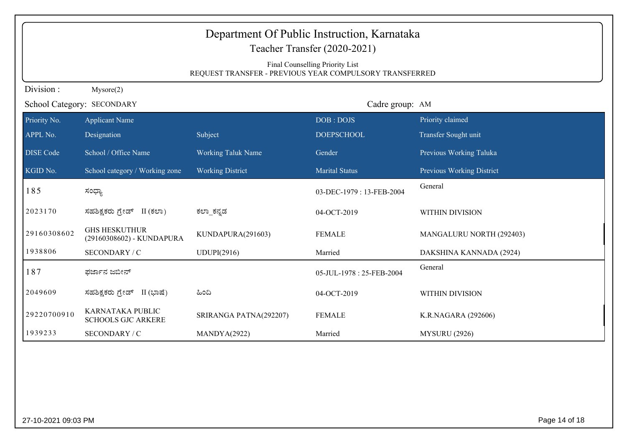| Department Of Public Instruction, Karnataka<br>Teacher Transfer (2020-2021)<br>Final Counselling Priority List<br>REQUEST TRANSFER - PREVIOUS YEAR COMPULSORY TRANSFERRED |                                                   |                           |                          |                           |
|---------------------------------------------------------------------------------------------------------------------------------------------------------------------------|---------------------------------------------------|---------------------------|--------------------------|---------------------------|
| Division:                                                                                                                                                                 | Mysore(2)                                         |                           |                          |                           |
|                                                                                                                                                                           | School Category: SECONDARY                        |                           | Cadre group: AM          |                           |
| Priority No.                                                                                                                                                              | <b>Applicant Name</b>                             |                           | DOB: DOJS                | Priority claimed          |
| APPL No.                                                                                                                                                                  | Designation                                       | Subject                   | <b>DOEPSCHOOL</b>        | Transfer Sought unit      |
| <b>DISE Code</b>                                                                                                                                                          | School / Office Name                              | <b>Working Taluk Name</b> | Gender                   | Previous Working Taluka   |
| KGID No.                                                                                                                                                                  | School category / Working zone                    | <b>Working District</b>   | <b>Marital Status</b>    | Previous Working District |
| 185                                                                                                                                                                       | ಸಂಧ್ಯಾ                                            |                           | 03-DEC-1979: 13-FEB-2004 | General                   |
| 2023170                                                                                                                                                                   | ಸಹಶಿಕ್ಷಕರು ಗ್ರೇಡ್ II (ಕಲಾ)                        | ಕಲ್_ಕನ್ನಡ                 | 04-OCT-2019              | WITHIN DIVISION           |
| 29160308602                                                                                                                                                               | <b>GHS HESKUTHUR</b><br>(29160308602) - KUNDAPURA | KUNDAPURA(291603)         | <b>FEMALE</b>            | MANGALURU NORTH (292403)  |
| 1938806                                                                                                                                                                   | SECONDARY / C                                     | UDUPI(2916)               | Married                  | DAKSHINA KANNADA (2924)   |
| 187                                                                                                                                                                       | ಫರ್ಜಾನ ಜಬೀನ್                                      |                           | 05-JUL-1978: 25-FEB-2004 | General                   |
| 2049609                                                                                                                                                                   | ಸಹಶಿಕ್ಷಕರು ಗ್ರೇಡ್ II (ಭಾಷೆ)                       | ಹಿಂದಿ                     | 04-OCT-2019              | <b>WITHIN DIVISION</b>    |
| 29220700910                                                                                                                                                               | KARNATAKA PUBLIC<br><b>SCHOOLS GJC ARKERE</b>     | SRIRANGA PATNA(292207)    | <b>FEMALE</b>            | K.R.NAGARA (292606)       |
| 1939233                                                                                                                                                                   | SECONDARY / C                                     | MANDYA(2922)              | Married                  | <b>MYSURU</b> (2926)      |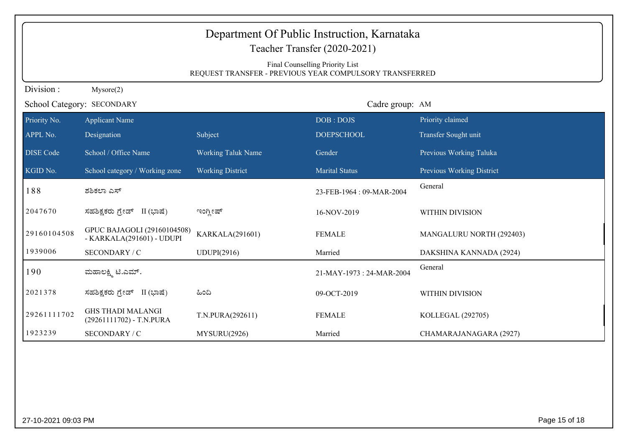| Department Of Public Instruction, Karnataka<br>Teacher Transfer (2020-2021)<br>Final Counselling Priority List<br>REQUEST TRANSFER - PREVIOUS YEAR COMPULSORY TRANSFERRED |                                                          |                           |                           |                           |  |
|---------------------------------------------------------------------------------------------------------------------------------------------------------------------------|----------------------------------------------------------|---------------------------|---------------------------|---------------------------|--|
| Division:                                                                                                                                                                 | Mysore(2)                                                |                           |                           |                           |  |
| School Category: SECONDARY                                                                                                                                                |                                                          |                           | Cadre group: AM           |                           |  |
| Priority No.                                                                                                                                                              | <b>Applicant Name</b>                                    |                           | DOB: DOJS                 | Priority claimed          |  |
| APPL No.                                                                                                                                                                  | Designation                                              | Subject                   | <b>DOEPSCHOOL</b>         | Transfer Sought unit      |  |
| <b>DISE</b> Code                                                                                                                                                          | School / Office Name                                     | <b>Working Taluk Name</b> | Gender                    | Previous Working Taluka   |  |
| KGID No.                                                                                                                                                                  | School category / Working zone                           | <b>Working District</b>   | <b>Marital Status</b>     | Previous Working District |  |
| 188                                                                                                                                                                       | ಶಶಿಕಲಾ ಎಸ್                                               |                           | 23-FEB-1964: 09-MAR-2004  | General                   |  |
| 2047670                                                                                                                                                                   | ಸಹಶಿಕ್ಷಕರು ಗ್ರೇಡ್ II (ಭಾಷೆ)                              | ಇಂಗ್ಲೀಷ್                  | 16-NOV-2019               | WITHIN DIVISION           |  |
| 29160104508                                                                                                                                                               | GPUC BAJAGOLI (29160104508)<br>- KARKALA(291601) - UDUPI | KARKALA(291601)           | <b>FEMALE</b>             | MANGALURU NORTH (292403)  |  |
| 1939006                                                                                                                                                                   | SECONDARY / C                                            | UDUPI(2916)               | Married                   | DAKSHINA KANNADA (2924)   |  |
| 190                                                                                                                                                                       | ಮಹಾಲಕ್ಷ್ಮಿ ಟಿ.ಎಮ್.                                       |                           | 21-MAY-1973 : 24-MAR-2004 | General                   |  |
| 2021378                                                                                                                                                                   | ಸಹಶಿಕ್ಷಕರು ಗ್ರೇಡ್ II (ಭಾಷೆ)                              | ಹಿಂದಿ                     | 09-OCT-2019               | WITHIN DIVISION           |  |
| 29261111702                                                                                                                                                               | <b>GHS THADI MALANGI</b><br>(29261111702) - T.N.PURA     | T.N.PURA(292611)          | <b>FEMALE</b>             | KOLLEGAL (292705)         |  |
| 1923239                                                                                                                                                                   | SECONDARY / C                                            | MYSURU(2926)              | Married                   | CHAMARAJANAGARA (2927)    |  |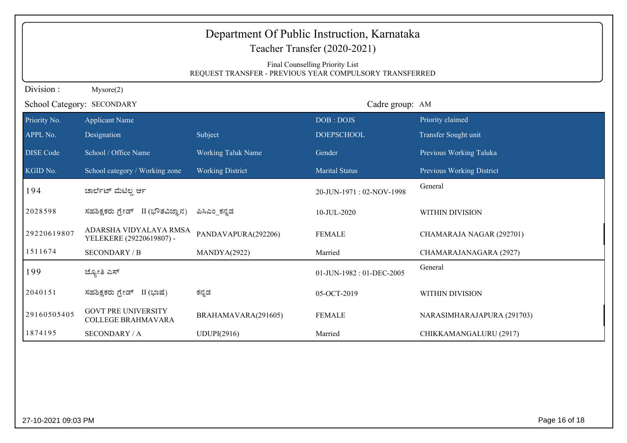|                  | Department Of Public Instruction, Karnataka<br>Teacher Transfer (2020-2021)                |                           |                          |                            |  |
|------------------|--------------------------------------------------------------------------------------------|---------------------------|--------------------------|----------------------------|--|
|                  | Final Counselling Priority List<br>REQUEST TRANSFER - PREVIOUS YEAR COMPULSORY TRANSFERRED |                           |                          |                            |  |
| Division:        | Mysore(2)                                                                                  |                           |                          |                            |  |
|                  | School Category: SECONDARY                                                                 |                           | Cadre group: AM          |                            |  |
| Priority No.     | <b>Applicant Name</b>                                                                      |                           | DOB: DOJS                | Priority claimed           |  |
| APPL No.         | Designation                                                                                | Subject                   | <b>DOEPSCHOOL</b>        | Transfer Sought unit       |  |
| <b>DISE</b> Code | School / Office Name                                                                       | <b>Working Taluk Name</b> | Gender                   | Previous Working Taluka    |  |
| KGID No.         | School category / Working zone                                                             | <b>Working District</b>   | <b>Marital Status</b>    | Previous Working District  |  |
| 194              | ಚಾರ್ಲೆಟ್ ಮೆಟಿಲ್ಲ ರ್ಆ                                                                       |                           | 20-JUN-1971: 02-NOV-1998 | General                    |  |
| 2028598          | ಸಹಶಿಕ್ಷಕರು ಗ್ರೇಡ್ II (ಭೌತವಿಜ್ಞಾನ)                                                          | ಪಿಸಿಎಂ ಕನ್ನಡ              | 10-JUL-2020              | <b>WITHIN DIVISION</b>     |  |
| 29220619807      | ADARSHA VIDYALAYA RMSA<br>YELEKERE (29220619807) -                                         | PANDAVAPURA(292206)       | <b>FEMALE</b>            | CHAMARAJA NAGAR (292701)   |  |
| 1511674          | <b>SECONDARY / B</b>                                                                       | MANDYA(2922)              | Married                  | CHAMARAJANAGARA (2927)     |  |
| 199              | ಜ್ಯೋತಿ ಎಸ್                                                                                 |                           | 01-JUN-1982: 01-DEC-2005 | General                    |  |
| 2040151          | ಸಹಶಿಕ್ಷಕರು ಗ್ರೇಡ್ II (ಭಾಷೆ)                                                                | ಕನ್ನಡ                     | 05-OCT-2019              | WITHIN DIVISION            |  |
| 29160505405      | <b>GOVT PRE UNIVERSITY</b><br><b>COLLEGE BRAHMAVARA</b>                                    | BRAHAMAVARA(291605)       | <b>FEMALE</b>            | NARASIMHARAJAPURA (291703) |  |
| 1874195          | <b>SECONDARY / A</b>                                                                       | UDUPI(2916)               | Married                  | CHIKKAMANGALURU (2917)     |  |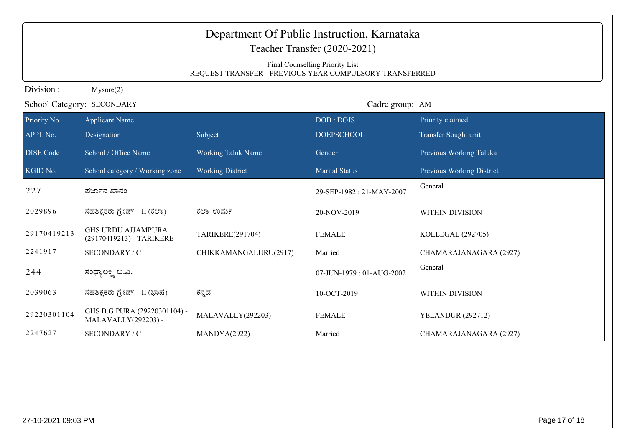| Department Of Public Instruction, Karnataka<br>Teacher Transfer (2020-2021) |                                                                                            |                           |                          |                           |  |
|-----------------------------------------------------------------------------|--------------------------------------------------------------------------------------------|---------------------------|--------------------------|---------------------------|--|
|                                                                             |                                                                                            |                           |                          |                           |  |
|                                                                             | Final Counselling Priority List<br>REQUEST TRANSFER - PREVIOUS YEAR COMPULSORY TRANSFERRED |                           |                          |                           |  |
| Division:                                                                   | Mysore(2)                                                                                  |                           |                          |                           |  |
|                                                                             | School Category: SECONDARY                                                                 |                           | Cadre group: AM          |                           |  |
| Priority No.                                                                | <b>Applicant Name</b>                                                                      |                           | DOB: DOJS                | Priority claimed          |  |
| APPL No.                                                                    | Designation                                                                                | Subject                   | <b>DOEPSCHOOL</b>        | Transfer Sought unit      |  |
| <b>DISE Code</b>                                                            | School / Office Name                                                                       | <b>Working Taluk Name</b> | Gender                   | Previous Working Taluka   |  |
| KGID No.                                                                    | School category / Working zone                                                             | <b>Working District</b>   | <b>Marital Status</b>    | Previous Working District |  |
| 227                                                                         | ಪರ್ಜಾನ ಖಾನಂ                                                                                |                           | 29-SEP-1982: 21-MAY-2007 | General                   |  |
| 2029896                                                                     | ಸಹಶಿಕ್ಷಕರು ಗ್ರೇಡ್ II (ಕಲಾ)                                                                 | ಕಲಾ ಉರ್ದು                 | 20-NOV-2019              | WITHIN DIVISION           |  |
| 29170419213                                                                 | <b>GHS URDU AJJAMPURA</b><br>(29170419213) - TARIKERE                                      | TARIKERE(291704)          | <b>FEMALE</b>            | KOLLEGAL (292705)         |  |
| 2241917                                                                     | SECONDARY / C                                                                              | CHIKKAMANGALURU(2917)     | Married                  | CHAMARAJANAGARA (2927)    |  |
| 244                                                                         | ಸಂಧ್ಯಾಲಕ್ಶ್ಮಿ ಬಿ.ವಿ.                                                                       |                           | 07-JUN-1979: 01-AUG-2002 | General                   |  |
| 2039063                                                                     | ಸಹಶಿಕ್ಷಕರು ಗ್ರೇಡ್ II (ಭಾಷೆ)                                                                | ಕನ್ನಡ                     | 10-OCT-2019              | WITHIN DIVISION           |  |
| 29220301104                                                                 | GHS B.G.PURA (29220301104) -<br>MALAVALLY(292203) -                                        | MALAVALLY(292203)         | <b>FEMALE</b>            | <b>YELANDUR (292712)</b>  |  |
| 2247627                                                                     | SECONDARY / C                                                                              | MANDYA(2922)              | Married                  | CHAMARAJANAGARA (2927)    |  |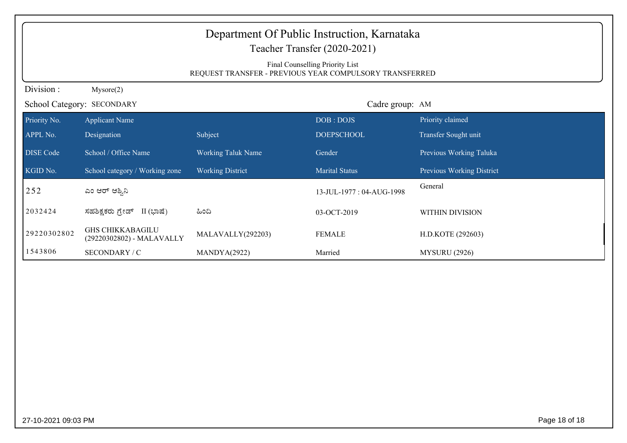|                  | Department Of Public Instruction, Karnataka<br>Teacher Transfer (2020-2021)<br>Final Counselling Priority List<br>REQUEST TRANSFER - PREVIOUS YEAR COMPULSORY TRANSFERRED |                           |                          |                           |  |
|------------------|---------------------------------------------------------------------------------------------------------------------------------------------------------------------------|---------------------------|--------------------------|---------------------------|--|
| Division:        | Mysore(2)                                                                                                                                                                 |                           |                          |                           |  |
|                  | School Category: SECONDARY                                                                                                                                                |                           | Cadre group: AM          |                           |  |
| Priority No.     | <b>Applicant Name</b>                                                                                                                                                     |                           | DOB: DOJS                | Priority claimed          |  |
| APPL No.         | Designation                                                                                                                                                               | Subject                   | <b>DOEPSCHOOL</b>        | Transfer Sought unit      |  |
| <b>DISE</b> Code | School / Office Name                                                                                                                                                      | <b>Working Taluk Name</b> | Gender                   | Previous Working Taluka   |  |
| KGID No.         | School category / Working zone                                                                                                                                            | <b>Working District</b>   | <b>Marital Status</b>    | Previous Working District |  |
| 252              | ಎಂ ಆರ್ ಆಶ್ನಿನಿ                                                                                                                                                            |                           | 13-JUL-1977: 04-AUG-1998 | General                   |  |
| 2032424          | ಸಹಶಿಕ್ಷಕರು ಗ್ರೇಡ್<br>II (ಭಾಷೆ)                                                                                                                                            | ಹಿಂದಿ                     | 03-OCT-2019              | WITHIN DIVISION           |  |
| 29220302802      | <b>GHS CHIKKABAGILU</b><br>(29220302802) - MALAVALLY                                                                                                                      | MALAVALLY(292203)         | <b>FEMALE</b>            | H.D.KOTE (292603)         |  |
| 1543806          | SECONDARY / C                                                                                                                                                             | MANDYA(2922)              | Married                  | <b>MYSURU</b> (2926)      |  |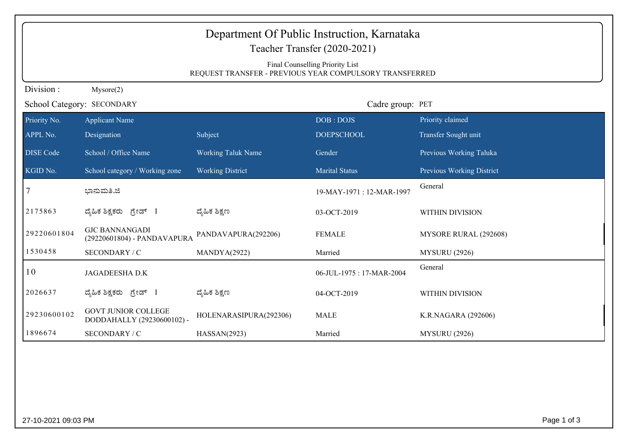| Final Counselling Priority List<br>REQUEST TRANSFER - PREVIOUS YEAR COMPULSORY TRANSFERRED<br>Division:<br>Mysore(2)<br>School Category: SECONDARY<br>Cadre group: PET<br>Priority claimed<br><b>Applicant Name</b><br>DOB: DOJS<br>Designation<br>Subject<br>Transfer Sought unit<br><b>DOEPSCHOOL</b><br>School / Office Name<br><b>Working Taluk Name</b><br>Previous Working Taluka<br>Gender<br>School category / Working zone<br><b>Working District</b><br><b>Marital Status</b><br>Previous Working District<br>General<br>ಭಾನುಮತಿ.ಜಿ<br>19-MAY-1971: 12-MAR-1997<br>ದ್ಯೆಹಿಕ ಶಿಕ್ಷಣ<br>ದೈಹಿಕ ಶಿಕ್ಷಕರು ಗ್ರೇಡ್ I<br>03-OCT-2019<br>WITHIN DIVISION<br><b>GJC BANNANGADI</b><br><b>FEMALE</b><br>PANDAVAPURA(292206)<br>MYSORE RURAL (292608)<br>(29220601804) - PANDAVAPURA<br>1530458<br>SECONDARY / C<br>Married<br><b>MYSURU</b> (2926)<br>MANDYA(2922)<br>General<br>10<br>JAGADEESHA D.K<br>06-JUL-1975: 17-MAR-2004<br>ದೈಹಿಕ ಶಿಕ್ಷಣ<br>ದೈಹಿಕ ಶಿಕ್ಷಕರು ಗ್ರೇಡ್ I<br>04-OCT-2019<br>WITHIN DIVISION<br><b>GOVT JUNIOR COLLEGE</b><br>HOLENARASIPURA(292306)<br><b>MALE</b><br>K.R.NAGARA (292606)<br>DODDAHALLY (29230600102) -<br>1896674<br>SECONDARY / C<br><b>MYSURU</b> (2926)<br>HASSAN(2923)<br>Married | Department Of Public Instruction, Karnataka<br>Teacher Transfer (2020-2021) |  |  |  |  |  |  |
|-------------------------------------------------------------------------------------------------------------------------------------------------------------------------------------------------------------------------------------------------------------------------------------------------------------------------------------------------------------------------------------------------------------------------------------------------------------------------------------------------------------------------------------------------------------------------------------------------------------------------------------------------------------------------------------------------------------------------------------------------------------------------------------------------------------------------------------------------------------------------------------------------------------------------------------------------------------------------------------------------------------------------------------------------------------------------------------------------------------------------------------------------------------------------------------------------------------------------|-----------------------------------------------------------------------------|--|--|--|--|--|--|
|                                                                                                                                                                                                                                                                                                                                                                                                                                                                                                                                                                                                                                                                                                                                                                                                                                                                                                                                                                                                                                                                                                                                                                                                                         |                                                                             |  |  |  |  |  |  |
|                                                                                                                                                                                                                                                                                                                                                                                                                                                                                                                                                                                                                                                                                                                                                                                                                                                                                                                                                                                                                                                                                                                                                                                                                         |                                                                             |  |  |  |  |  |  |
|                                                                                                                                                                                                                                                                                                                                                                                                                                                                                                                                                                                                                                                                                                                                                                                                                                                                                                                                                                                                                                                                                                                                                                                                                         |                                                                             |  |  |  |  |  |  |
| APPL No.<br>2175863<br>29220601804<br>2026637<br>29230600102                                                                                                                                                                                                                                                                                                                                                                                                                                                                                                                                                                                                                                                                                                                                                                                                                                                                                                                                                                                                                                                                                                                                                            | Priority No.                                                                |  |  |  |  |  |  |
|                                                                                                                                                                                                                                                                                                                                                                                                                                                                                                                                                                                                                                                                                                                                                                                                                                                                                                                                                                                                                                                                                                                                                                                                                         |                                                                             |  |  |  |  |  |  |
| KGID No.                                                                                                                                                                                                                                                                                                                                                                                                                                                                                                                                                                                                                                                                                                                                                                                                                                                                                                                                                                                                                                                                                                                                                                                                                | <b>DISE Code</b>                                                            |  |  |  |  |  |  |
|                                                                                                                                                                                                                                                                                                                                                                                                                                                                                                                                                                                                                                                                                                                                                                                                                                                                                                                                                                                                                                                                                                                                                                                                                         |                                                                             |  |  |  |  |  |  |
|                                                                                                                                                                                                                                                                                                                                                                                                                                                                                                                                                                                                                                                                                                                                                                                                                                                                                                                                                                                                                                                                                                                                                                                                                         |                                                                             |  |  |  |  |  |  |
|                                                                                                                                                                                                                                                                                                                                                                                                                                                                                                                                                                                                                                                                                                                                                                                                                                                                                                                                                                                                                                                                                                                                                                                                                         |                                                                             |  |  |  |  |  |  |
|                                                                                                                                                                                                                                                                                                                                                                                                                                                                                                                                                                                                                                                                                                                                                                                                                                                                                                                                                                                                                                                                                                                                                                                                                         |                                                                             |  |  |  |  |  |  |
|                                                                                                                                                                                                                                                                                                                                                                                                                                                                                                                                                                                                                                                                                                                                                                                                                                                                                                                                                                                                                                                                                                                                                                                                                         |                                                                             |  |  |  |  |  |  |
|                                                                                                                                                                                                                                                                                                                                                                                                                                                                                                                                                                                                                                                                                                                                                                                                                                                                                                                                                                                                                                                                                                                                                                                                                         |                                                                             |  |  |  |  |  |  |
|                                                                                                                                                                                                                                                                                                                                                                                                                                                                                                                                                                                                                                                                                                                                                                                                                                                                                                                                                                                                                                                                                                                                                                                                                         |                                                                             |  |  |  |  |  |  |
|                                                                                                                                                                                                                                                                                                                                                                                                                                                                                                                                                                                                                                                                                                                                                                                                                                                                                                                                                                                                                                                                                                                                                                                                                         |                                                                             |  |  |  |  |  |  |
|                                                                                                                                                                                                                                                                                                                                                                                                                                                                                                                                                                                                                                                                                                                                                                                                                                                                                                                                                                                                                                                                                                                                                                                                                         |                                                                             |  |  |  |  |  |  |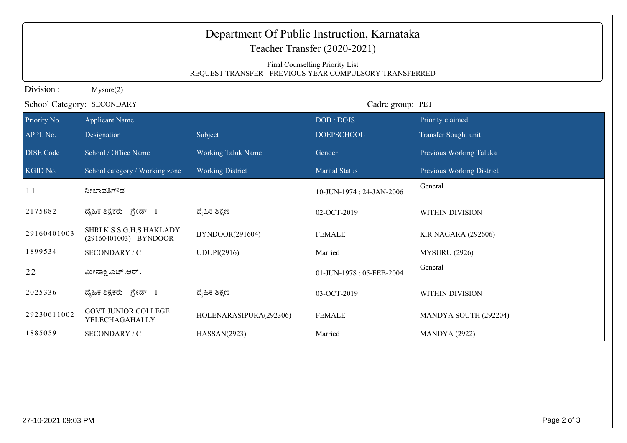|                  | Department Of Public Instruction, Karnataka<br>Teacher Transfer (2020-2021)                |                           |                          |                           |  |
|------------------|--------------------------------------------------------------------------------------------|---------------------------|--------------------------|---------------------------|--|
|                  | Final Counselling Priority List<br>REQUEST TRANSFER - PREVIOUS YEAR COMPULSORY TRANSFERRED |                           |                          |                           |  |
| Division:        | Mysore(2)                                                                                  |                           |                          |                           |  |
|                  | School Category: SECONDARY                                                                 |                           | Cadre group: PET         |                           |  |
| Priority No.     | <b>Applicant Name</b>                                                                      |                           | DOB: DOJS                | Priority claimed          |  |
| APPL No.         | Designation                                                                                | Subject                   | <b>DOEPSCHOOL</b>        | Transfer Sought unit      |  |
| <b>DISE Code</b> | School / Office Name                                                                       | <b>Working Taluk Name</b> | Gender                   | Previous Working Taluka   |  |
| KGID No.         | School category / Working zone                                                             | <b>Working District</b>   | <b>Marital Status</b>    | Previous Working District |  |
| 11               | ನೀಲಾವತಿಗೌಡ                                                                                 |                           | 10-JUN-1974: 24-JAN-2006 | General                   |  |
| 2175882          | ದೈಹಿಕ ಶಿಕ್ಷಕರು ಗ್ರೇಡ್ I                                                                    | ದ್ಯಹಿಕ ಶಿಕ್ಷಣ             | 02-OCT-2019              | WITHIN DIVISION           |  |
| 29160401003      | SHRI K.S.S.G.H.S HAKLADY<br>(29160401003) - BYNDOOR                                        | BYNDOOR(291604)           | <b>FEMALE</b>            | K.R.NAGARA (292606)       |  |
| 1899534          | SECONDARY / C                                                                              | UDUPI(2916)               | Married                  | <b>MYSURU (2926)</b>      |  |
| 22               | ಮೀನಾಕ್ಷಿ.ಎಚ್.ಆರ್.                                                                          |                           | 01-JUN-1978: 05-FEB-2004 | General                   |  |
| 2025336          | ದೈಹಿಕ ಶಿಕ್ಷಕರು ಗ್ರೇಡ್ I                                                                    | ದ್ಯೆಹಿಕ ಶಿಕ್ಷಣ            | 03-OCT-2019              | WITHIN DIVISION           |  |
| 29230611002      | <b>GOVT JUNIOR COLLEGE</b><br>YELECHAGAHALLY                                               | HOLENARASIPURA(292306)    | <b>FEMALE</b>            | MANDYA SOUTH (292204)     |  |
| 1885059          | SECONDARY / C                                                                              | HASSAN(2923)              | Married                  | <b>MANDYA</b> (2922)      |  |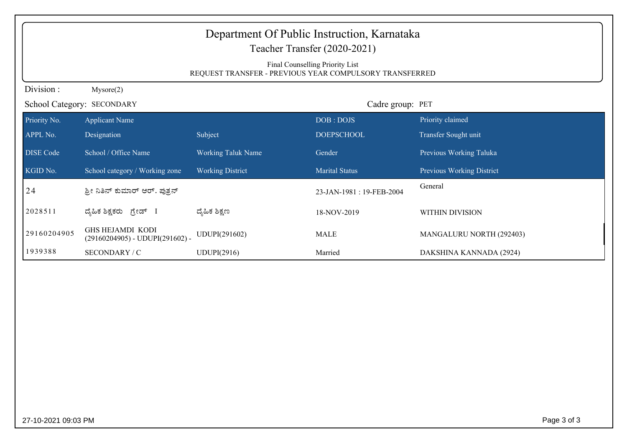|                  | Department Of Public Instruction, Karnataka<br>Teacher Transfer (2020-2021)<br>Final Counselling Priority List<br>REQUEST TRANSFER - PREVIOUS YEAR COMPULSORY TRANSFERRED |                           |                          |                           |  |
|------------------|---------------------------------------------------------------------------------------------------------------------------------------------------------------------------|---------------------------|--------------------------|---------------------------|--|
| Division:        | Mysore(2)                                                                                                                                                                 |                           |                          |                           |  |
|                  | School Category: SECONDARY                                                                                                                                                |                           | Cadre group: PET         |                           |  |
| Priority No.     | <b>Applicant Name</b>                                                                                                                                                     |                           | DOB: DOJS                | Priority claimed          |  |
| APPL No.         | Designation                                                                                                                                                               | Subject                   | <b>DOEPSCHOOL</b>        | Transfer Sought unit      |  |
| <b>DISE</b> Code | School / Office Name                                                                                                                                                      | <b>Working Taluk Name</b> | Gender                   | Previous Working Taluka   |  |
| KGID No.         | School category / Working zone                                                                                                                                            | <b>Working District</b>   | <b>Marital Status</b>    | Previous Working District |  |
| 24               | ಶ್ರೀ ನಿತಿನ್ ಕುಮಾರ್ ಆರ್. ಪುತ್ರನ್                                                                                                                                           |                           | 23-JAN-1981: 19-FEB-2004 | General                   |  |
| 2028511          | ದೈಹಿಕ ಶಿಕ್ಷಕರು ಗ್ರೇಡ್ I                                                                                                                                                   | ದ್ಯೆಹಿಕ ಶಿಕ್ಷಣ            | 18-NOV-2019              | WITHIN DIVISION           |  |
| 29160204905      | <b>GHS HEJAMDI KODI</b><br>$(29160204905)$ - UDUPI(291602) -                                                                                                              | UDUPI(291602)             | <b>MALE</b>              | MANGALURU NORTH (292403)  |  |
| 1939388          | SECONDARY / C                                                                                                                                                             | UDUPI(2916)               | Married                  | DAKSHINA KANNADA (2924)   |  |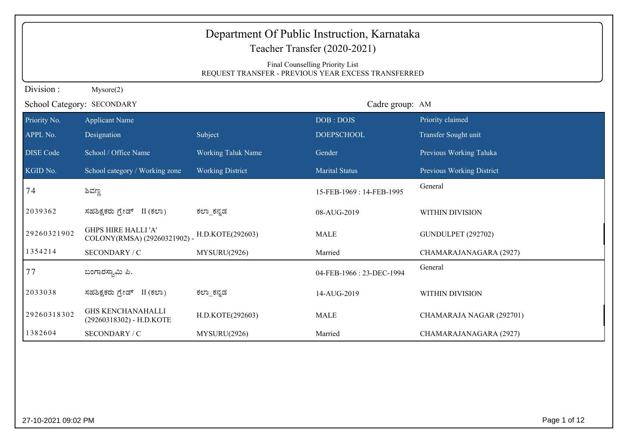| Department Of Public Instruction, Karnataka<br>Teacher Transfer (2020-2021)<br>Final Counselling Priority List<br>REQUEST TRANSFER - PREVIOUS YEAR EXCESS TRANSFERRED |                                                           |                           |                          |                           |
|-----------------------------------------------------------------------------------------------------------------------------------------------------------------------|-----------------------------------------------------------|---------------------------|--------------------------|---------------------------|
| Division:                                                                                                                                                             | Mysore(2)                                                 |                           |                          |                           |
|                                                                                                                                                                       | School Category: SECONDARY                                |                           | Cadre group: AM          |                           |
| Priority No.                                                                                                                                                          | <b>Applicant Name</b>                                     |                           | DOB: DOJS                | Priority claimed          |
| APPL No.                                                                                                                                                              | Designation                                               | Subject                   | <b>DOEPSCHOOL</b>        | Transfer Sought unit      |
| <b>DISE</b> Code                                                                                                                                                      | School / Office Name                                      | <b>Working Taluk Name</b> | Gender                   | Previous Working Taluka   |
| KGID No.                                                                                                                                                              | School category / Working zone                            | <b>Working District</b>   | <b>Marital Status</b>    | Previous Working District |
| 74                                                                                                                                                                    | ಶಿವಣ್ಣ                                                    |                           | 15-FEB-1969: 14-FEB-1995 | General                   |
| 2039362                                                                                                                                                               | ಸಹಶಿಕ್ಷಕರು ಗ್ರೇಡ್ II (ಕಲಾ)                                | ಕಲ್_ಕನ್ನಡ                 | 08-AUG-2019              | WITHIN DIVISION           |
| 29260321902                                                                                                                                                           | <b>GHPS HIRE HALLI'A'</b><br>COLONY(RMSA) (29260321902) - | H.D.KOTE(292603)          | <b>MALE</b>              | <b>GUNDULPET (292702)</b> |
| 1354214                                                                                                                                                               | SECONDARY / C                                             | MYSURU(2926)              | Married                  | CHAMARAJANAGARA (2927)    |
| 77                                                                                                                                                                    | ಬಂಗಾರಸ್ವಾಮಿ ಪಿ.                                           |                           | 04-FEB-1966: 23-DEC-1994 | General                   |
| 2033038                                                                                                                                                               | ಸಹಶಿಕ್ಷಕರು ಗ್ರೇಡ್ II (ಕಲಾ)                                | ಕಲ್_ಕನ್ನಡ                 | 14-AUG-2019              | WITHIN DIVISION           |
| 29260318302                                                                                                                                                           | <b>GHS KENCHANAHALLI</b><br>(29260318302) - H.D.KOTE      | H.D.KOTE(292603)          | <b>MALE</b>              | CHAMARAJA NAGAR (292701)  |
| 1382604                                                                                                                                                               | SECONDARY / C                                             | MYSURU(2926)              | Married                  | CHAMARAJANAGARA (2927)    |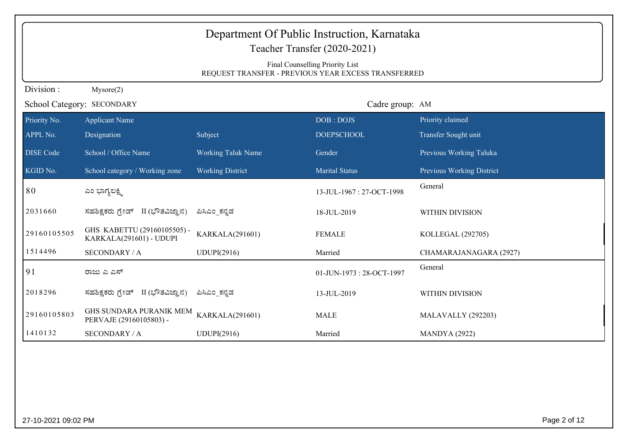|                            | Department Of Public Instruction, Karnataka<br>Teacher Transfer (2020-2021)<br>Final Counselling Priority List<br>REQUEST TRANSFER - PREVIOUS YEAR EXCESS TRANSFERRED |                           |                          |                           |  |
|----------------------------|-----------------------------------------------------------------------------------------------------------------------------------------------------------------------|---------------------------|--------------------------|---------------------------|--|
| Division:                  | Mysore(2)                                                                                                                                                             |                           |                          |                           |  |
| School Category: SECONDARY |                                                                                                                                                                       |                           | Cadre group: AM          |                           |  |
| Priority No.               | <b>Applicant Name</b>                                                                                                                                                 |                           | DOB: DOJS                | Priority claimed          |  |
| APPL No.                   | Designation                                                                                                                                                           | Subject                   | <b>DOEPSCHOOL</b>        | Transfer Sought unit      |  |
| DISE Code                  | School / Office Name                                                                                                                                                  | <b>Working Taluk Name</b> | Gender                   | Previous Working Taluka   |  |
| KGID No.                   | School category / Working zone                                                                                                                                        | <b>Working District</b>   | <b>Marital Status</b>    | Previous Working District |  |
| 80                         | ಎಂ ಭಾಗ್ಯಲಕ್ಷ್ಮಿ                                                                                                                                                       |                           | 13-JUL-1967: 27-OCT-1998 | General                   |  |
| 2031660                    | II (ಭೌತವಿಜ್ಞಾನ)<br>ಸಹಶಿಕ್ಷಕರು ಗ್ರೇಡ್                                                                                                                                  | ಪಿಸಿಎಂ_ಕನ್ನಡ              | 18-JUL-2019              | WITHIN DIVISION           |  |
| 29160105505                | GHS KABETTU (29160105505) -<br>KARKALA(291601) - UDUPI                                                                                                                | <b>KARKALA(291601)</b>    | <b>FEMALE</b>            | KOLLEGAL (292705)         |  |
| 1514496                    | <b>SECONDARY / A</b>                                                                                                                                                  | UDUPI(2916)               | Married                  | CHAMARAJANAGARA (2927)    |  |
| 91                         | ರಾಜು ಎ ಎಸ್                                                                                                                                                            |                           | 01-JUN-1973: 28-OCT-1997 | General                   |  |
| 2018296                    | ಸಹಶಿಕ್ಷಕರು ಗ್ರೇಡ್ II (ಭೌತವಿಜ್ಞಾನ)                                                                                                                                     | ಪಿಸಿಎಂ ಕನ್ನಡ              | 13-JUL-2019              | WITHIN DIVISION           |  |
| 29160105803                | GHS SUNDARA PURANIK MEM<br>PERVAJE (29160105803) -                                                                                                                    | KARKALA(291601)           | <b>MALE</b>              | MALAVALLY (292203)        |  |
| 1410132                    | <b>SECONDARY / A</b>                                                                                                                                                  | UDUPI(2916)               | Married                  | <b>MANDYA</b> (2922)      |  |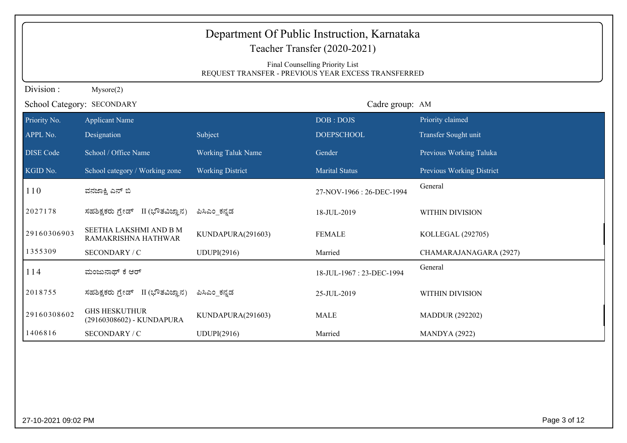|                  | Department Of Public Instruction, Karnataka<br>Teacher Transfer (2020-2021)<br>Final Counselling Priority List<br>REQUEST TRANSFER - PREVIOUS YEAR EXCESS TRANSFERRED |                           |                          |                           |  |  |  |
|------------------|-----------------------------------------------------------------------------------------------------------------------------------------------------------------------|---------------------------|--------------------------|---------------------------|--|--|--|
| Division:        | Mysore(2)                                                                                                                                                             |                           |                          |                           |  |  |  |
|                  | School Category: SECONDARY                                                                                                                                            |                           | Cadre group: AM          |                           |  |  |  |
| Priority No.     | <b>Applicant Name</b>                                                                                                                                                 |                           | DOB: DOJS                | Priority claimed          |  |  |  |
| APPL No.         | Designation                                                                                                                                                           | Subject                   | <b>DOEPSCHOOL</b>        | Transfer Sought unit      |  |  |  |
| <b>DISE Code</b> | School / Office Name                                                                                                                                                  | <b>Working Taluk Name</b> | Gender                   | Previous Working Taluka   |  |  |  |
| KGID No.         | School category / Working zone                                                                                                                                        | <b>Working District</b>   | <b>Marital Status</b>    | Previous Working District |  |  |  |
| 110              | ವನಜಾಕ್ಷಿ ಎನ್ ಬಿ                                                                                                                                                       |                           | 27-NOV-1966: 26-DEC-1994 | General                   |  |  |  |
| 2027178          | ಸಹಶಿಕ್ಷಕರು ಗ್ರೇಡ್ II (ಭೌತವಿಜ್ಞಾನ)                                                                                                                                     | ಪಿಸಿಎಂ_ಕನ್ನಡ              | 18-JUL-2019              | WITHIN DIVISION           |  |  |  |
| 29160306903      | SEETHA LAKSHMI AND B M<br>RAMAKRISHNA HATHWAR                                                                                                                         | KUNDAPURA(291603)         | <b>FEMALE</b>            | KOLLEGAL (292705)         |  |  |  |
| 1355309          | SECONDARY / C                                                                                                                                                         | <b>UDUPI(2916)</b>        | Married                  | CHAMARAJANAGARA (2927)    |  |  |  |
| 114              | ಮಂಜುನಾಥ್ ಕೆ ಆರ್                                                                                                                                                       |                           | 18-JUL-1967: 23-DEC-1994 | General                   |  |  |  |
| 2018755          | ಸಹಶಿಕ್ಷಕರು ಗ್ರೇಡ್ II (ಭೌತವಿಜ್ಞಾನ)                                                                                                                                     | ಪಿಸಿಎಂ ಕನ್ನಡ              | 25-JUL-2019              | WITHIN DIVISION           |  |  |  |
| 29160308602      | <b>GHS HESKUTHUR</b><br>(29160308602) - KUNDAPURA                                                                                                                     | KUNDAPURA(291603)         | <b>MALE</b>              | <b>MADDUR (292202)</b>    |  |  |  |
| 1406816          | SECONDARY / C                                                                                                                                                         | UDUPI(2916)               | Married                  | <b>MANDYA</b> (2922)      |  |  |  |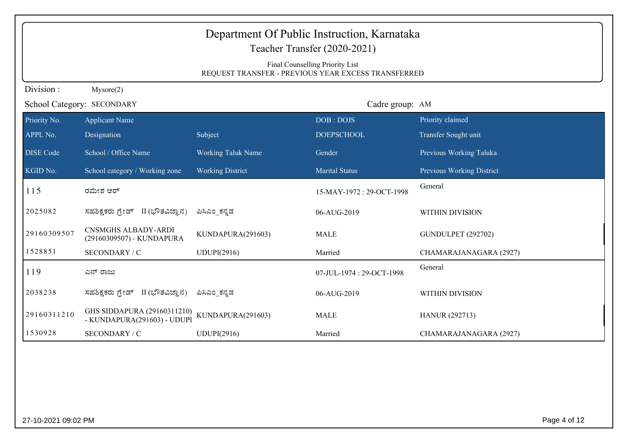|                  | Department Of Public Instruction, Karnataka<br>Teacher Transfer (2020-2021)            |                           |                          |                                  |  |  |  |  |
|------------------|----------------------------------------------------------------------------------------|---------------------------|--------------------------|----------------------------------|--|--|--|--|
|                  | Final Counselling Priority List<br>REQUEST TRANSFER - PREVIOUS YEAR EXCESS TRANSFERRED |                           |                          |                                  |  |  |  |  |
| Division:        | Mysore(2)                                                                              |                           |                          |                                  |  |  |  |  |
|                  | School Category: SECONDARY                                                             |                           | Cadre group: AM          |                                  |  |  |  |  |
| Priority No.     | <b>Applicant Name</b>                                                                  |                           | DOB: DOJS                | Priority claimed                 |  |  |  |  |
| APPL No.         | Designation                                                                            | Subject                   | <b>DOEPSCHOOL</b>        | Transfer Sought unit             |  |  |  |  |
| <b>DISE Code</b> | School / Office Name                                                                   | <b>Working Taluk Name</b> | Gender                   | Previous Working Taluka          |  |  |  |  |
| KGID No.         | School category / Working zone                                                         | <b>Working District</b>   | <b>Marital Status</b>    | <b>Previous Working District</b> |  |  |  |  |
| 115              | ರಮೇಶ ಆರ್                                                                               |                           | 15-MAY-1972: 29-OCT-1998 | General                          |  |  |  |  |
| 2025082          | ಸಹಶಿಕ್ಷಕರು ಗ್ರೇಡ್ II (ಭೌತವಿಜ್ಞಾನ)                                                      | ಪಿಸಿಎಂ_ಕನ್ನಡ              | 06-AUG-2019              | WITHIN DIVISION                  |  |  |  |  |
| 29160309507      | <b>CNSMGHS ALBADY-ARDI</b><br>(29160309507) - KUNDAPURA                                | KUNDAPURA(291603)         | <b>MALE</b>              | <b>GUNDULPET (292702)</b>        |  |  |  |  |
| 1528851          | SECONDARY / C                                                                          | <b>UDUPI(2916)</b>        | Married                  | CHAMARAJANAGARA (2927)           |  |  |  |  |
| 119              | ಎನ್ ರಾಜು                                                                               |                           | 07-JUL-1974: 29-OCT-1998 | General                          |  |  |  |  |
| 2038238          | ಸಹಶಿಕ್ಷಕರು ಗ್ರೇಡ್ II (ಭೌತವಿಜ್ಞಾನ)                                                      | ಪಿಸಿಎಂ ಕನ್ನಡ              | 06-AUG-2019              | WITHIN DIVISION                  |  |  |  |  |
| 29160311210      | GHS SIDDAPURA (29160311210)<br>- KUNDAPURA(291603) - UDUPI                             | KUNDAPURA(291603)         | <b>MALE</b>              | <b>HANUR (292713)</b>            |  |  |  |  |
| 1530928          | SECONDARY / C                                                                          | UDUPI(2916)               | Married                  | CHAMARAJANAGARA (2927)           |  |  |  |  |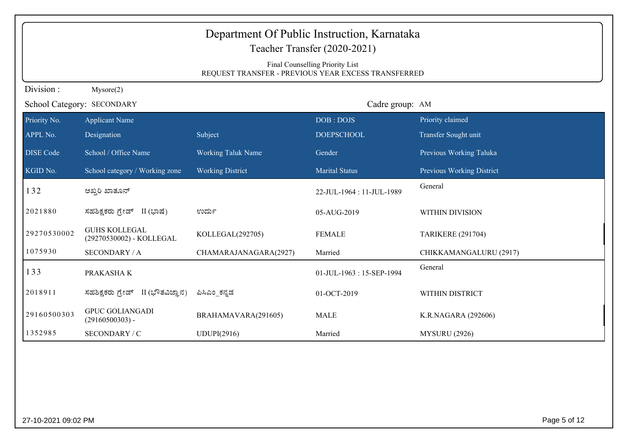|                  | Department Of Public Instruction, Karnataka<br>Teacher Transfer (2020-2021)<br>Final Counselling Priority List<br>REQUEST TRANSFER - PREVIOUS YEAR EXCESS TRANSFERRED |                           |                          |                           |  |  |  |
|------------------|-----------------------------------------------------------------------------------------------------------------------------------------------------------------------|---------------------------|--------------------------|---------------------------|--|--|--|
| Division:        | Mysore(2)                                                                                                                                                             |                           |                          |                           |  |  |  |
|                  | School Category: SECONDARY                                                                                                                                            |                           | Cadre group: AM          |                           |  |  |  |
| Priority No.     | <b>Applicant Name</b>                                                                                                                                                 |                           | DOB: DOJS                | Priority claimed          |  |  |  |
| APPL No.         | Designation                                                                                                                                                           | Subject                   | <b>DOEPSCHOOL</b>        | Transfer Sought unit      |  |  |  |
| <b>DISE Code</b> | School / Office Name                                                                                                                                                  | <b>Working Taluk Name</b> | Gender                   | Previous Working Taluka   |  |  |  |
| KGID No.         | School category / Working zone                                                                                                                                        | <b>Working District</b>   | <b>Marital Status</b>    | Previous Working District |  |  |  |
| 132              | ಅಖ್ಷರಿ ಖಾತೂನ್                                                                                                                                                         |                           | 22-JUL-1964: 11-JUL-1989 | General                   |  |  |  |
| 2021880          | ಸಹಶಿಕ್ಷಕರು ಗ್ರೇಡ್ II (ಭಾಷೆ)                                                                                                                                           | ಉರ್ದು                     | 05-AUG-2019              | WITHIN DIVISION           |  |  |  |
| 29270530002      | <b>GUHS KOLLEGAL</b><br>(29270530002) - KOLLEGAL                                                                                                                      | KOLLEGAL(292705)          | <b>FEMALE</b>            | <b>TARIKERE (291704)</b>  |  |  |  |
| 1075930          | <b>SECONDARY / A</b>                                                                                                                                                  | CHAMARAJANAGARA(2927)     | Married                  | CHIKKAMANGALURU (2917)    |  |  |  |
| 133              | PRAKASHA K                                                                                                                                                            |                           | 01-JUL-1963: 15-SEP-1994 | General                   |  |  |  |
| 2018911          | ಸಹಶಿಕ್ಷಕರು ಗ್ರೇಡ್ II (ಭೌತವಿಜ್ಞಾನ)                                                                                                                                     | ಪಿಸಿಎಂ_ಕನ್ನಡ              | 01-OCT-2019              | WITHIN DISTRICT           |  |  |  |
| 29160500303      | <b>GPUC GOLIANGADI</b><br>$(29160500303)$ -                                                                                                                           | BRAHAMAVARA(291605)       | <b>MALE</b>              | K.R.NAGARA (292606)       |  |  |  |
| 1352985          | SECONDARY / C                                                                                                                                                         | <b>UDUPI(2916)</b>        | Married                  | <b>MYSURU (2926)</b>      |  |  |  |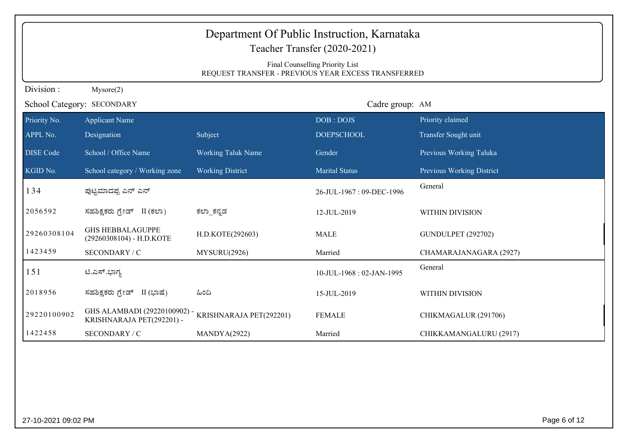|                  | Department Of Public Instruction, Karnataka<br>Teacher Transfer (2020-2021) |                           |                                                                                        |                           |  |  |  |
|------------------|-----------------------------------------------------------------------------|---------------------------|----------------------------------------------------------------------------------------|---------------------------|--|--|--|
|                  |                                                                             |                           | Final Counselling Priority List<br>REQUEST TRANSFER - PREVIOUS YEAR EXCESS TRANSFERRED |                           |  |  |  |
| Division:        | Mysore(2)                                                                   |                           |                                                                                        |                           |  |  |  |
|                  | School Category: SECONDARY                                                  |                           | Cadre group: AM                                                                        |                           |  |  |  |
| Priority $N_0$ . | <b>Applicant Name</b>                                                       |                           | DOB: DOJS                                                                              | Priority claimed          |  |  |  |
| APPL No.         | Designation                                                                 | Subject                   | <b>DOEPSCHOOL</b>                                                                      | Transfer Sought unit      |  |  |  |
| <b>DISE Code</b> | School / Office Name                                                        | <b>Working Taluk Name</b> | Gender                                                                                 | Previous Working Taluka   |  |  |  |
| KGID No.         | School category / Working zone                                              | <b>Working District</b>   | <b>Marital Status</b>                                                                  | Previous Working District |  |  |  |
| 134              | ಪುಟ್ಟಮಾದಪ್ಪ ಎನ್ ಎನ್                                                         |                           | 26-JUL-1967: 09-DEC-1996                                                               | General                   |  |  |  |
| 2056592          | ಸಹಶಿಕ್ಷಕರು ಗ್ರೇಡ್ II (ಕಲಾ)                                                  | ಕಲ್_ಕನ್ನಡ                 | 12-JUL-2019                                                                            | WITHIN DIVISION           |  |  |  |
| 29260308104      | <b>GHS HEBBALAGUPPE</b><br>(29260308104) - H.D.KOTE                         | H.D.KOTE(292603)          | <b>MALE</b>                                                                            | <b>GUNDULPET (292702)</b> |  |  |  |
| 1423459          | SECONDARY / C                                                               | MYSURU(2926)              | Married                                                                                | CHAMARAJANAGARA (2927)    |  |  |  |
| 151              | ಟಿ.ಎಸ್.ಭಾಗ್ಯ                                                                |                           | 10-JUL-1968: 02-JAN-1995                                                               | General                   |  |  |  |
| 2018956          | ಸಹಶಿಕ್ಷಕರು ಗ್ರೇಡ್ II (ಭಾಷೆ)                                                 | ಹಿಂದಿ                     | 15-JUL-2019                                                                            | WITHIN DIVISION           |  |  |  |
| 29220100902      | GHS ALAMBADI (29220100902) -<br>KRISHNARAJA PET(292201) -                   | KRISHNARAJA PET(292201)   | <b>FEMALE</b>                                                                          | CHIKMAGALUR (291706)      |  |  |  |
| 1422458          | SECONDARY / C                                                               | MANDYA(2922)              | Married                                                                                | CHIKKAMANGALURU (2917)    |  |  |  |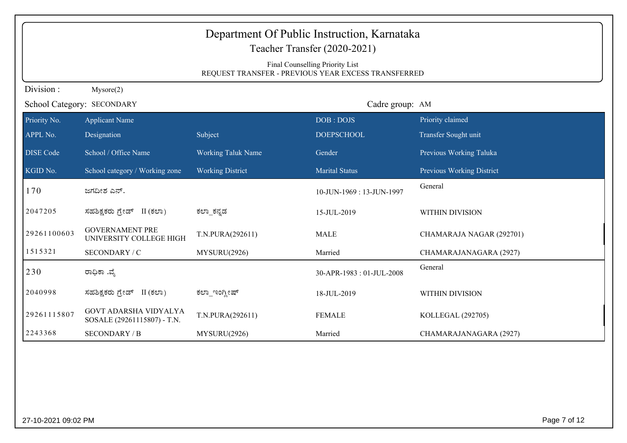|                  | Department Of Public Instruction, Karnataka<br>Teacher Transfer (2020-2021)<br>Final Counselling Priority List<br>REQUEST TRANSFER - PREVIOUS YEAR EXCESS TRANSFERRED |                           |                          |                           |  |  |  |  |
|------------------|-----------------------------------------------------------------------------------------------------------------------------------------------------------------------|---------------------------|--------------------------|---------------------------|--|--|--|--|
| Division:        | Mysore(2)                                                                                                                                                             |                           |                          |                           |  |  |  |  |
|                  | School Category: SECONDARY                                                                                                                                            |                           | Cadre group: AM          |                           |  |  |  |  |
| Priority No.     | <b>Applicant Name</b>                                                                                                                                                 |                           | DOB: DOJS                | Priority claimed          |  |  |  |  |
| APPL No.         | Designation                                                                                                                                                           | Subject                   | <b>DOEPSCHOOL</b>        | Transfer Sought unit      |  |  |  |  |
| <b>DISE Code</b> | School / Office Name                                                                                                                                                  | <b>Working Taluk Name</b> | Gender                   | Previous Working Taluka   |  |  |  |  |
| KGID No.         | School category / Working zone                                                                                                                                        | <b>Working District</b>   | <b>Marital Status</b>    | Previous Working District |  |  |  |  |
| 170              | ಜಗದೀಶ ಎನ್.                                                                                                                                                            |                           | 10-JUN-1969: 13-JUN-1997 | General                   |  |  |  |  |
| 2047205          | ಸಹಶಿಕ್ಷಕರು ಗ್ರೇಡ್ II (ಕಲಾ)                                                                                                                                            | ಕಲ್_ಕನ್ನಡ                 | 15-JUL-2019              | <b>WITHIN DIVISION</b>    |  |  |  |  |
| 29261100603      | <b>GOVERNAMENT PRE</b><br>UNIVERSITY COLLEGE HIGH                                                                                                                     | T.N.PURA(292611)          | <b>MALE</b>              | CHAMARAJA NAGAR (292701)  |  |  |  |  |
| 1515321          | SECONDARY / C                                                                                                                                                         | MYSURU(2926)              | Married                  | CHAMARAJANAGARA (2927)    |  |  |  |  |
| 230              | ರಾಧಿಕಾ .ವೈ                                                                                                                                                            |                           | 30-APR-1983: 01-JUL-2008 | General                   |  |  |  |  |
| 2040998          | ಸಹಶಿಕ್ಷಕರು ಗ್ರೇಡ್ II (ಕಲಾ)                                                                                                                                            | ಕಲ್_ಇಂಗ್ಲೀಷ್              | 18-JUL-2019              | WITHIN DIVISION           |  |  |  |  |
| 29261115807      | <b>GOVT ADARSHA VIDYALYA</b><br>SOSALE (29261115807) - T.N.                                                                                                           | T.N.PURA(292611)          | <b>FEMALE</b>            | KOLLEGAL (292705)         |  |  |  |  |
| 2243368          | <b>SECONDARY / B</b>                                                                                                                                                  | MYSURU(2926)              | Married                  | CHAMARAJANAGARA (2927)    |  |  |  |  |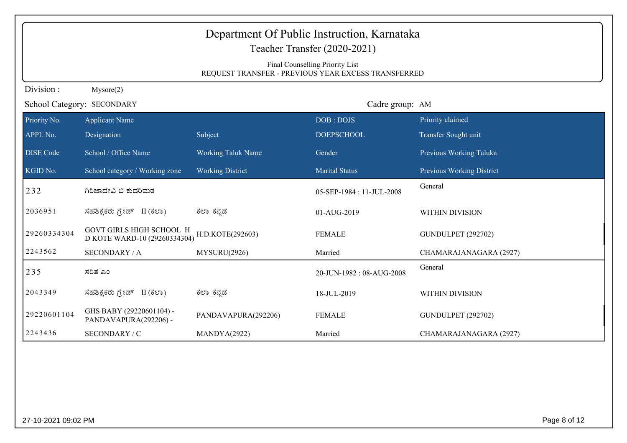| Department Of Public Instruction, Karnataka<br>Teacher Transfer (2020-2021) |                                                                                        |                           |                          |                           |  |  |  |  |
|-----------------------------------------------------------------------------|----------------------------------------------------------------------------------------|---------------------------|--------------------------|---------------------------|--|--|--|--|
|                                                                             | Final Counselling Priority List<br>REQUEST TRANSFER - PREVIOUS YEAR EXCESS TRANSFERRED |                           |                          |                           |  |  |  |  |
| Division:                                                                   | Mysore(2)                                                                              |                           |                          |                           |  |  |  |  |
|                                                                             | School Category: SECONDARY                                                             |                           | Cadre group: AM          |                           |  |  |  |  |
| Priority No.                                                                | <b>Applicant Name</b>                                                                  |                           | DOB: DOJS                | Priority claimed          |  |  |  |  |
| APPL No.                                                                    | Designation                                                                            | Subject                   | <b>DOEPSCHOOL</b>        | Transfer Sought unit      |  |  |  |  |
| <b>DISE Code</b>                                                            | School / Office Name                                                                   | <b>Working Taluk Name</b> | Gender                   | Previous Working Taluka   |  |  |  |  |
| KGID No.                                                                    | School category / Working zone                                                         | <b>Working District</b>   | <b>Marital Status</b>    | Previous Working District |  |  |  |  |
| 232                                                                         | ಗಿರಿಜಾದೇವಿ ಬಿ ಕುದರಿಮಠ                                                                  |                           | 05-SEP-1984: 11-JUL-2008 | General                   |  |  |  |  |
| 2036951                                                                     | ಸಹಶಿಕ್ಷಕರು ಗ್ರೇಡ್ II (ಕಲಾ)                                                             | ಕಲ್_ಕನ್ನಡ                 | 01-AUG-2019              | WITHIN DIVISION           |  |  |  |  |
| 29260334304                                                                 | GOVT GIRLS HIGH SCHOOL H<br>D KOTE WARD-10 (29260334304)                               | H.D.KOTE(292603)          | <b>FEMALE</b>            | <b>GUNDULPET (292702)</b> |  |  |  |  |
| 2243562                                                                     | <b>SECONDARY / A</b>                                                                   | MYSURU(2926)              | Married                  | CHAMARAJANAGARA (2927)    |  |  |  |  |
| 235                                                                         | ಸರಿತ ಎಂ                                                                                |                           | 20-JUN-1982: 08-AUG-2008 | General                   |  |  |  |  |
| 2043349                                                                     | ಸಹಶಿಕ್ಷಕರು ಗ್ರೇಡ್ II (ಕಲಾ)                                                             | ಕಲ್_ಕನ್ನಡ                 | 18-JUL-2019              | WITHIN DIVISION           |  |  |  |  |
| 29220601104                                                                 | GHS BABY (29220601104) -<br>PANDAVAPURA(292206) -                                      | PANDAVAPURA(292206)       | <b>FEMALE</b>            | <b>GUNDULPET (292702)</b> |  |  |  |  |
| 2243436                                                                     | SECONDARY / C                                                                          | MANDYA(2922)              | Married                  | CHAMARAJANAGARA (2927)    |  |  |  |  |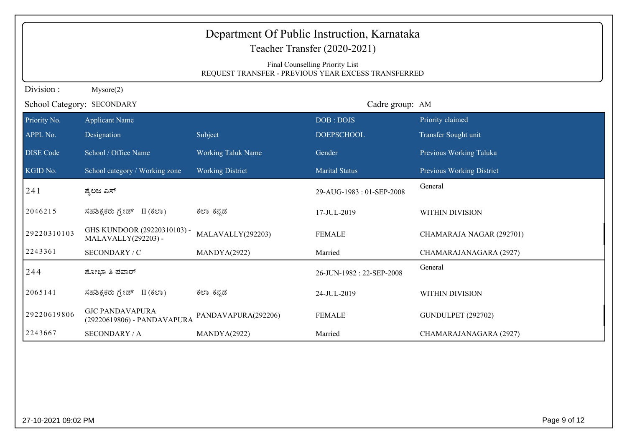|                  | Department Of Public Instruction, Karnataka<br>Teacher Transfer (2020-2021) |                           |                                                     |                           |  |  |  |
|------------------|-----------------------------------------------------------------------------|---------------------------|-----------------------------------------------------|---------------------------|--|--|--|
|                  |                                                                             |                           | Final Counselling Priority List                     |                           |  |  |  |
|                  |                                                                             |                           | REQUEST TRANSFER - PREVIOUS YEAR EXCESS TRANSFERRED |                           |  |  |  |
| Division:        | Mysore(2)                                                                   |                           |                                                     |                           |  |  |  |
|                  | School Category: SECONDARY                                                  |                           | Cadre group: AM                                     |                           |  |  |  |
| Priority No.     | <b>Applicant Name</b>                                                       |                           | DOB: DOJS                                           | Priority claimed          |  |  |  |
| APPL No.         | Designation                                                                 | Subject                   | <b>DOEPSCHOOL</b>                                   | Transfer Sought unit      |  |  |  |
| <b>DISE</b> Code | School / Office Name                                                        | <b>Working Taluk Name</b> | Gender                                              | Previous Working Taluka   |  |  |  |
| KGID No.         | School category / Working zone                                              | <b>Working District</b>   | <b>Marital Status</b>                               | Previous Working District |  |  |  |
| 241              | ಶ್ಶೆಲಜ ಎಸ್                                                                  |                           | 29-AUG-1983: 01-SEP-2008                            | General                   |  |  |  |
| 2046215          | ಸಹಶಿಕ್ಷಕರು ಗ್ರೇಡ್ II (ಕಲಾ)                                                  | ಕಲ್_ಕನ್ನಡ                 | 17-JUL-2019                                         | WITHIN DIVISION           |  |  |  |
| 29220310103      | GHS KUNDOOR (29220310103) -<br>MALAVALLY(292203) -                          | MALAVALLY(292203)         | <b>FEMALE</b>                                       | CHAMARAJA NAGAR (292701)  |  |  |  |
| 2243361          | SECONDARY / C                                                               | MANDYA(2922)              | Married                                             | CHAMARAJANAGARA (2927)    |  |  |  |
| 244              | ಶೋಭಾ ತಿ ಪವಾರ್                                                               |                           | 26-JUN-1982: 22-SEP-2008                            | General                   |  |  |  |
| 2065141          | ಸಹಶಿಕ್ಷಕರು ಗ್ರೇಡ್ II (ಕಲಾ)                                                  | ಕಲ್_ಕನ್ನಡ                 | 24-JUL-2019                                         | WITHIN DIVISION           |  |  |  |
| 29220619806      | <b>GJC PANDAVAPURA</b><br>(29220619806) - PANDAVAPURA                       | PANDAVAPURA(292206)       | <b>FEMALE</b>                                       | <b>GUNDULPET (292702)</b> |  |  |  |
| 2243667          | <b>SECONDARY / A</b>                                                        | MANDYA(2922)              | Married                                             | CHAMARAJANAGARA (2927)    |  |  |  |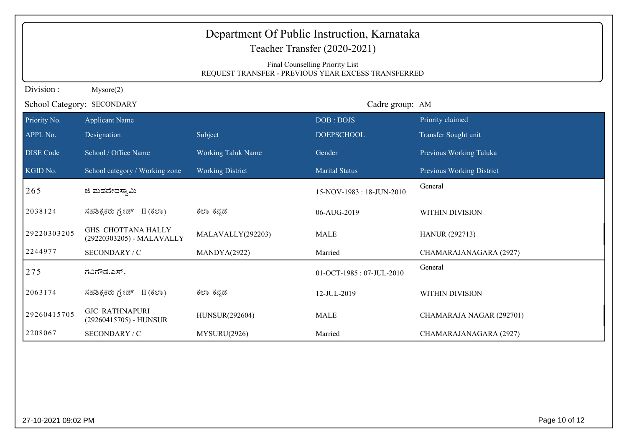|                  | Department Of Public Instruction, Karnataka<br>Teacher Transfer (2020-2021)<br>Final Counselling Priority List<br>REQUEST TRANSFER - PREVIOUS YEAR EXCESS TRANSFERRED |                           |                          |                           |  |  |  |
|------------------|-----------------------------------------------------------------------------------------------------------------------------------------------------------------------|---------------------------|--------------------------|---------------------------|--|--|--|
| Division:        | Mysore(2)                                                                                                                                                             |                           |                          |                           |  |  |  |
|                  | School Category: SECONDARY                                                                                                                                            |                           | Cadre group: AM          |                           |  |  |  |
| Priority No.     | <b>Applicant Name</b>                                                                                                                                                 |                           | DOB: DOJS                | Priority claimed          |  |  |  |
| APPL No.         | Designation                                                                                                                                                           | Subject                   | <b>DOEPSCHOOL</b>        | Transfer Sought unit      |  |  |  |
| <b>DISE Code</b> | School / Office Name                                                                                                                                                  | <b>Working Taluk Name</b> | Gender                   | Previous Working Taluka   |  |  |  |
| KGID No.         | School category / Working zone                                                                                                                                        | <b>Working District</b>   | <b>Marital Status</b>    | Previous Working District |  |  |  |
| 265              | ಜಿ ಮಹದೇವಸ್ತಾಮಿ                                                                                                                                                        |                           | 15-NOV-1983: 18-JUN-2010 | General                   |  |  |  |
| 2038124          | ಸಹಶಿಕ್ಷಕರು ಗ್ರೇಡ್ II (ಕಲಾ)                                                                                                                                            | ಕಲ್_ಕನ್ನಡ                 | 06-AUG-2019              | WITHIN DIVISION           |  |  |  |
| 29220303205      | <b>GHS CHOTTANA HALLY</b><br>(29220303205) - MALAVALLY                                                                                                                | MALAVALLY(292203)         | <b>MALE</b>              | <b>HANUR (292713)</b>     |  |  |  |
| 2244977          | SECONDARY / C                                                                                                                                                         | MANDYA(2922)              | Married                  | CHAMARAJANAGARA (2927)    |  |  |  |
| 275              | ಗವಿಗೌಡ.ಎಸ್.                                                                                                                                                           |                           | 01-OCT-1985: 07-JUL-2010 | General                   |  |  |  |
| 2063174          | ಸಹಶಿಕ್ಷಕರು ಗ್ರೇಡ್ II (ಕಲಾ)                                                                                                                                            | ಕಲ್_ಕನ್ನಡ                 | 12-JUL-2019              | WITHIN DIVISION           |  |  |  |
| 29260415705      | <b>GJC RATHNAPURI</b><br>(29260415705) - HUNSUR                                                                                                                       | HUNSUR(292604)            | <b>MALE</b>              | CHAMARAJA NAGAR (292701)  |  |  |  |
| 2208067          | SECONDARY / C                                                                                                                                                         | MYSURU(2926)              | Married                  | CHAMARAJANAGARA (2927)    |  |  |  |

27-10-2021 09:02 PM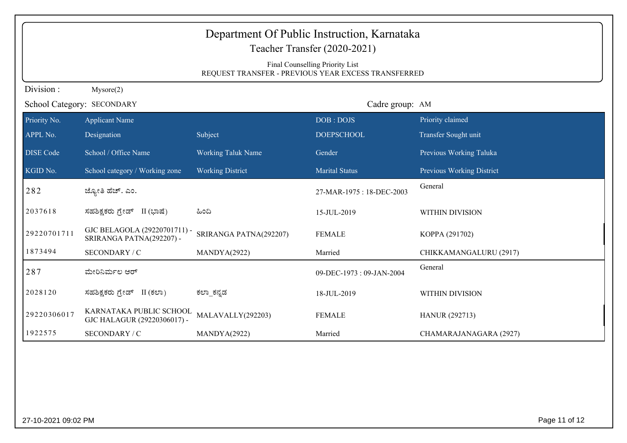| Department Of Public Instruction, Karnataka |                                                          |                           |                                                                                        |                           |  |
|---------------------------------------------|----------------------------------------------------------|---------------------------|----------------------------------------------------------------------------------------|---------------------------|--|
|                                             |                                                          |                           | Teacher Transfer (2020-2021)                                                           |                           |  |
|                                             |                                                          |                           | Final Counselling Priority List<br>REQUEST TRANSFER - PREVIOUS YEAR EXCESS TRANSFERRED |                           |  |
| Division:                                   | Mysore(2)                                                |                           |                                                                                        |                           |  |
|                                             | School Category: SECONDARY                               |                           | Cadre group: AM                                                                        |                           |  |
| Priority No.                                | <b>Applicant Name</b>                                    |                           | DOB: DOJS                                                                              | Priority claimed          |  |
| APPL No.                                    | Designation                                              | Subject                   | <b>DOEPSCHOOL</b>                                                                      | Transfer Sought unit      |  |
| <b>DISE</b> Code                            | School / Office Name                                     | <b>Working Taluk Name</b> | Gender                                                                                 | Previous Working Taluka   |  |
| KGID No.                                    | School category / Working zone                           | <b>Working District</b>   | <b>Marital Status</b>                                                                  | Previous Working District |  |
| 282                                         | ಜ್ಯೋತಿ ಹೆಚ್. ಎಂ.                                         |                           | 27-MAR-1975: 18-DEC-2003                                                               | General                   |  |
| 2037618                                     | ಸಹಶಿಕ್ಷಕರು ಗ್ರೇಡ್ II (ಭಾಷೆ)                              | ಹಿಂದಿ                     | 15-JUL-2019                                                                            | WITHIN DIVISION           |  |
| 29220701711                                 | GJC BELAGOLA (29220701711) -<br>SRIRANGA PATNA(292207) - | SRIRANGA PATNA(292207)    | <b>FEMALE</b>                                                                          | KOPPA (291702)            |  |
| 1873494                                     | SECONDARY / C                                            | MANDYA(2922)              | Married                                                                                | CHIKKAMANGALURU (2917)    |  |
| 287                                         | ಮೇರಿನಿರ್ಮಲ ಆರ್                                           |                           | 09-DEC-1973: 09-JAN-2004                                                               | General                   |  |
| 2028120                                     | ಸಹಶಿಕ್ಷಕರು ಗ್ರೇಡ್ II (ಕಲಾ)                               | ಕಲ್_ಕನ್ನಡ                 | 18-JUL-2019                                                                            | WITHIN DIVISION           |  |
| 29220306017                                 | KARNATAKA PUBLIC SCHOOL<br>GJC HALAGUR (29220306017) -   | MALAVALLY(292203)         | <b>FEMALE</b>                                                                          | <b>HANUR (292713)</b>     |  |
| 1922575                                     | SECONDARY / C                                            | MANDYA(2922)              | Married                                                                                | CHAMARAJANAGARA (2927)    |  |